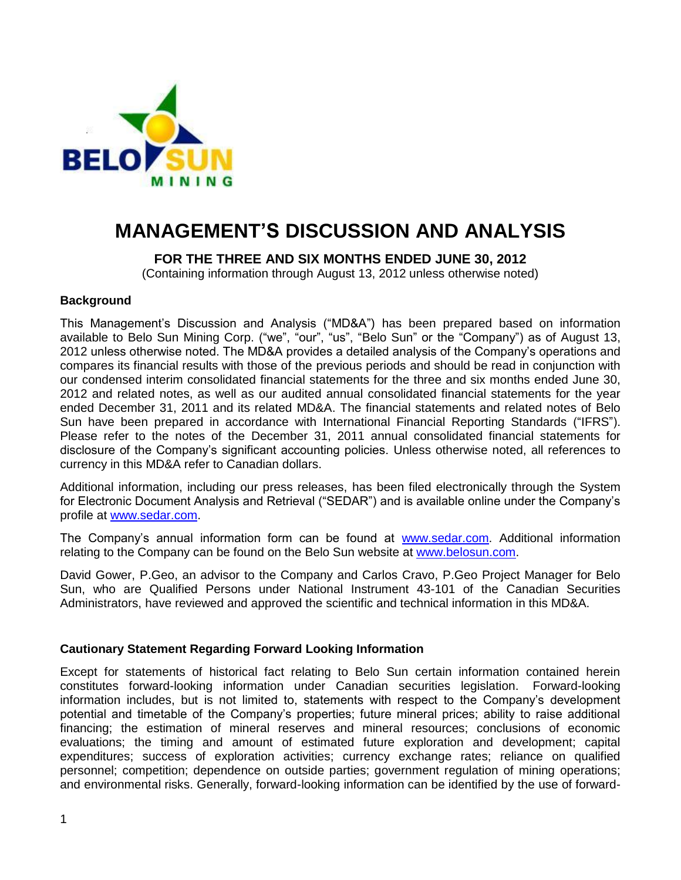

# **MANAGEMENT'S DISCUSSION AND ANALYSIS**

**FOR THE THREE AND SIX MONTHS ENDED JUNE 30, 2012**

(Containing information through August 13, 2012 unless otherwise noted)

## **Background**

This Management's Discussion and Analysis ("MD&A") has been prepared based on information available to Belo Sun Mining Corp. ("we", "our", "us", "Belo Sun" or the "Company") as of August 13, 2012 unless otherwise noted. The MD&A provides a detailed analysis of the Company's operations and compares its financial results with those of the previous periods and should be read in conjunction with our condensed interim consolidated financial statements for the three and six months ended June 30, 2012 and related notes, as well as our audited annual consolidated financial statements for the year ended December 31, 2011 and its related MD&A. The financial statements and related notes of Belo Sun have been prepared in accordance with International Financial Reporting Standards ("IFRS"). Please refer to the notes of the December 31, 2011 annual consolidated financial statements for disclosure of the Company's significant accounting policies. Unless otherwise noted, all references to currency in this MD&A refer to Canadian dollars.

Additional information, including our press releases, has been filed electronically through the System for Electronic Document Analysis and Retrieval ("SEDAR") and is available online under the Company's profile at [www.sedar.com.](http://www.sedar.com/)

The Company's annual information form can be found at [www.sedar.com.](http://www.sedar.com/) Additional information relating to the Company can be found on the Belo Sun website at [www.belosun.com.](http://www.belosun.com/)

David Gower, P.Geo, an advisor to the Company and Carlos Cravo, P.Geo Project Manager for Belo Sun, who are Qualified Persons under National Instrument 43-101 of the Canadian Securities Administrators, have reviewed and approved the scientific and technical information in this MD&A.

# **Cautionary Statement Regarding Forward Looking Information**

Except for statements of historical fact relating to Belo Sun certain information contained herein constitutes forward-looking information under Canadian securities legislation. Forward-looking information includes, but is not limited to, statements with respect to the Company's development potential and timetable of the Company's properties; future mineral prices; ability to raise additional financing; the estimation of mineral reserves and mineral resources; conclusions of economic evaluations; the timing and amount of estimated future exploration and development; capital expenditures; success of exploration activities; currency exchange rates; reliance on qualified personnel; competition; dependence on outside parties; government regulation of mining operations; and environmental risks. Generally, forward-looking information can be identified by the use of forward-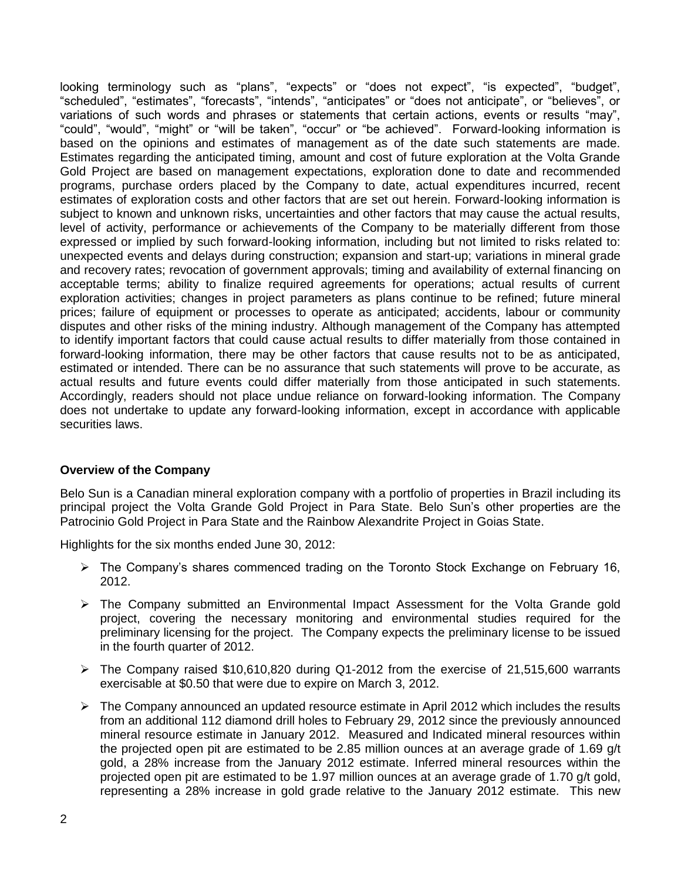looking terminology such as "plans", "expects" or "does not expect", "is expected", "budget", "scheduled", "estimates", "forecasts", "intends", "anticipates" or "does not anticipate", or "believes", or variations of such words and phrases or statements that certain actions, events or results "may", "could", "would", "might" or "will be taken", "occur" or "be achieved". Forward-looking information is based on the opinions and estimates of management as of the date such statements are made. Estimates regarding the anticipated timing, amount and cost of future exploration at the Volta Grande Gold Project are based on management expectations, exploration done to date and recommended programs, purchase orders placed by the Company to date, actual expenditures incurred, recent estimates of exploration costs and other factors that are set out herein. Forward-looking information is subject to known and unknown risks, uncertainties and other factors that may cause the actual results, level of activity, performance or achievements of the Company to be materially different from those expressed or implied by such forward-looking information, including but not limited to risks related to: unexpected events and delays during construction; expansion and start-up; variations in mineral grade and recovery rates; revocation of government approvals; timing and availability of external financing on acceptable terms; ability to finalize required agreements for operations; actual results of current exploration activities; changes in project parameters as plans continue to be refined; future mineral prices; failure of equipment or processes to operate as anticipated; accidents, labour or community disputes and other risks of the mining industry. Although management of the Company has attempted to identify important factors that could cause actual results to differ materially from those contained in forward-looking information, there may be other factors that cause results not to be as anticipated, estimated or intended. There can be no assurance that such statements will prove to be accurate, as actual results and future events could differ materially from those anticipated in such statements. Accordingly, readers should not place undue reliance on forward-looking information. The Company does not undertake to update any forward-looking information, except in accordance with applicable securities laws.

# **Overview of the Company**

Belo Sun is a Canadian mineral exploration company with a portfolio of properties in Brazil including its principal project the Volta Grande Gold Project in Para State. Belo Sun's other properties are the Patrocinio Gold Project in Para State and the Rainbow Alexandrite Project in Goias State.

Highlights for the six months ended June 30, 2012:

- $\triangleright$  The Company's shares commenced trading on the Toronto Stock Exchange on February 16, 2012.
- $\triangleright$  The Company submitted an Environmental Impact Assessment for the Volta Grande gold project, covering the necessary monitoring and environmental studies required for the preliminary licensing for the project. The Company expects the preliminary license to be issued in the fourth quarter of 2012.
- $\triangleright$  The Company raised \$10,610,820 during Q1-2012 from the exercise of 21,515,600 warrants exercisable at \$0.50 that were due to expire on March 3, 2012.
- $\triangleright$  The Company announced an updated resource estimate in April 2012 which includes the results from an additional 112 diamond drill holes to February 29, 2012 since the previously announced mineral resource estimate in January 2012. Measured and Indicated mineral resources within the projected open pit are estimated to be 2.85 million ounces at an average grade of 1.69 g/t gold, a 28% increase from the January 2012 estimate. Inferred mineral resources within the projected open pit are estimated to be 1.97 million ounces at an average grade of 1.70 g/t gold, representing a 28% increase in gold grade relative to the January 2012 estimate. This new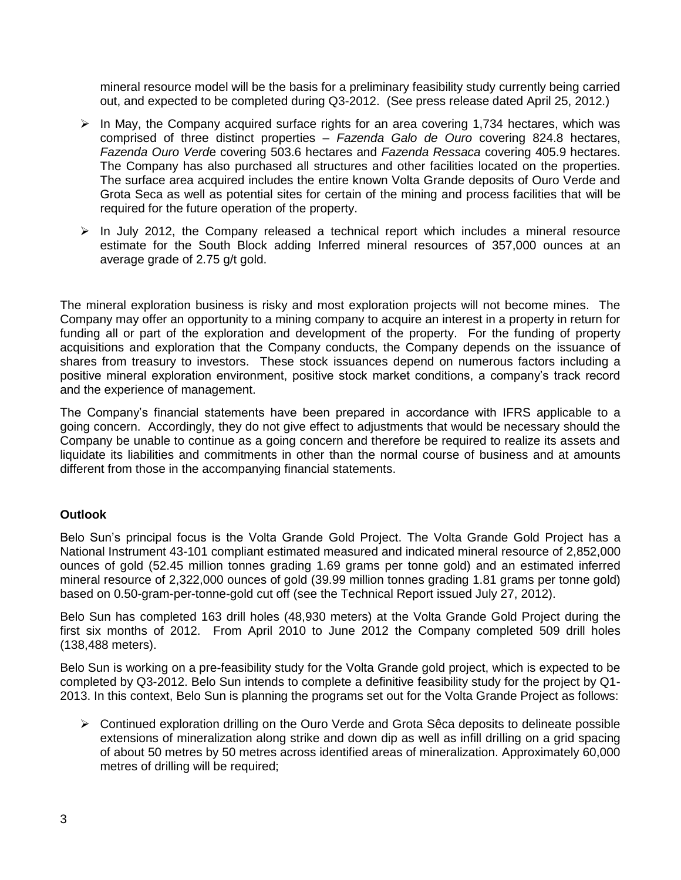mineral resource model will be the basis for a preliminary feasibility study currently being carried out, and expected to be completed during Q3-2012. (See press release dated April 25, 2012.)

- $\triangleright$  In May, the Company acquired surface rights for an area covering 1,734 hectares, which was comprised of three distinct properties – *Fazenda Galo de Ouro* covering 824.8 hectares, *Fazenda Ouro Verd*e covering 503.6 hectares and *Fazenda Ressaca* covering 405.9 hectares. The Company has also purchased all structures and other facilities located on the properties. The surface area acquired includes the entire known Volta Grande deposits of Ouro Verde and Grota Seca as well as potential sites for certain of the mining and process facilities that will be required for the future operation of the property.
- $\triangleright$  In July 2012, the Company released a technical report which includes a mineral resource estimate for the South Block adding Inferred mineral resources of 357,000 ounces at an average grade of 2.75 g/t gold.

The mineral exploration business is risky and most exploration projects will not become mines. The Company may offer an opportunity to a mining company to acquire an interest in a property in return for funding all or part of the exploration and development of the property. For the funding of property acquisitions and exploration that the Company conducts, the Company depends on the issuance of shares from treasury to investors. These stock issuances depend on numerous factors including a positive mineral exploration environment, positive stock market conditions, a company's track record and the experience of management.

The Company's financial statements have been prepared in accordance with IFRS applicable to a going concern. Accordingly, they do not give effect to adjustments that would be necessary should the Company be unable to continue as a going concern and therefore be required to realize its assets and liquidate its liabilities and commitments in other than the normal course of business and at amounts different from those in the accompanying financial statements.

# **Outlook**

Belo Sun's principal focus is the Volta Grande Gold Project. The Volta Grande Gold Project has a National Instrument 43-101 compliant estimated measured and indicated mineral resource of 2,852,000 ounces of gold (52.45 million tonnes grading 1.69 grams per tonne gold) and an estimated inferred mineral resource of 2,322,000 ounces of gold (39.99 million tonnes grading 1.81 grams per tonne gold) based on 0.50-gram-per-tonne-gold cut off (see the Technical Report issued July 27, 2012).

Belo Sun has completed 163 drill holes (48,930 meters) at the Volta Grande Gold Project during the first six months of 2012. From April 2010 to June 2012 the Company completed 509 drill holes (138,488 meters).

Belo Sun is working on a pre-feasibility study for the Volta Grande gold project, which is expected to be completed by Q3-2012. Belo Sun intends to complete a definitive feasibility study for the project by Q1- 2013. In this context, Belo Sun is planning the programs set out for the Volta Grande Project as follows:

 $\triangleright$  Continued exploration drilling on the Ouro Verde and Grota Sêca deposits to delineate possible extensions of mineralization along strike and down dip as well as infill drilling on a grid spacing of about 50 metres by 50 metres across identified areas of mineralization. Approximately 60,000 metres of drilling will be required;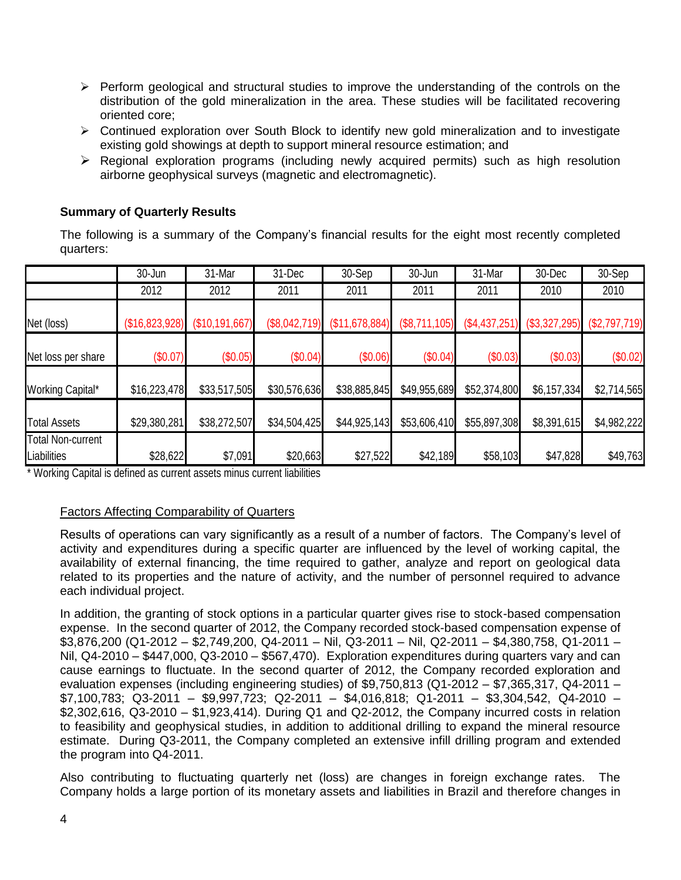- $\triangleright$  Perform geological and structural studies to improve the understanding of the controls on the distribution of the gold mineralization in the area. These studies will be facilitated recovering oriented core;
- $\triangleright$  Continued exploration over South Block to identify new gold mineralization and to investigate existing gold showings at depth to support mineral resource estimation; and
- $\triangleright$  Regional exploration programs (including newly acquired permits) such as high resolution airborne geophysical surveys (magnetic and electromagnetic).

## **Summary of Quarterly Results**

The following is a summary of the Company's financial results for the eight most recently completed quarters:

|                                         | 30-Jun         | 31-Mar         | 31-Dec        | 30-Sep         | 30-Jun        | 31-Mar        | 30-Dec          | 30-Sep        |
|-----------------------------------------|----------------|----------------|---------------|----------------|---------------|---------------|-----------------|---------------|
|                                         | 2012           | 2012           | 2011          | 2011           | 2011          | 2011          | 2010            | 2010          |
| Net (loss)                              | (\$16,823,928) | (\$10,191,667) | (\$8,042,719) | (\$11,678,884) | (\$8,711,105) | (\$4,437,251) | $(\$3,327,295)$ | (\$2,797,719) |
| Net loss per share                      | (\$0.07)       | (\$0.05)       | (\$0.04)      | (\$0.06)       | (\$0.04)      | (\$0.03)      | (\$0.03)        | (\$0.02)      |
| <b>Working Capital*</b>                 | \$16,223,478   | \$33,517,505   | \$30,576,636  | \$38,885,845   | \$49,955,689  | \$52,374,800  | \$6,157,334     | \$2,714,565   |
| <b>Total Assets</b>                     | \$29,380,281   | \$38,272,507   | \$34,504,425  | \$44,925,143   | \$53,606,410  | \$55,897,308  | \$8,391,615     | \$4,982,222   |
| <b>Total Non-current</b><br>Liabilities | \$28,622       | \$7,091        | \$20,663      | \$27,522       | \$42,189      | \$58,103      | \$47,828        | \$49,763      |

\* Working Capital is defined as current assets minus current liabilities

# Factors Affecting Comparability of Quarters

Results of operations can vary significantly as a result of a number of factors. The Company's level of activity and expenditures during a specific quarter are influenced by the level of working capital, the availability of external financing, the time required to gather, analyze and report on geological data related to its properties and the nature of activity, and the number of personnel required to advance each individual project.

In addition, the granting of stock options in a particular quarter gives rise to stock-based compensation expense. In the second quarter of 2012, the Company recorded stock-based compensation expense of \$3,876,200 (Q1-2012 – \$2,749,200, Q4-2011 – Nil, Q3-2011 – Nil, Q2-2011 – \$4,380,758, Q1-2011 – Nil, Q4-2010 – \$447,000, Q3-2010 – \$567,470). Exploration expenditures during quarters vary and can cause earnings to fluctuate. In the second quarter of 2012, the Company recorded exploration and evaluation expenses (including engineering studies) of \$9,750,813 (Q1-2012 – \$7,365,317, Q4-2011 –  $$7,100,783;$  Q3-2011 – \$9,997,723; Q2-2011 – \$4,016,818; Q1-2011 – \$3,304,542, Q4-2010 – \$2,302,616, Q3-2010 – \$1,923,414). During Q1 and Q2-2012, the Company incurred costs in relation to feasibility and geophysical studies, in addition to additional drilling to expand the mineral resource estimate. During Q3-2011, the Company completed an extensive infill drilling program and extended the program into Q4-2011.

Also contributing to fluctuating quarterly net (loss) are changes in foreign exchange rates. The Company holds a large portion of its monetary assets and liabilities in Brazil and therefore changes in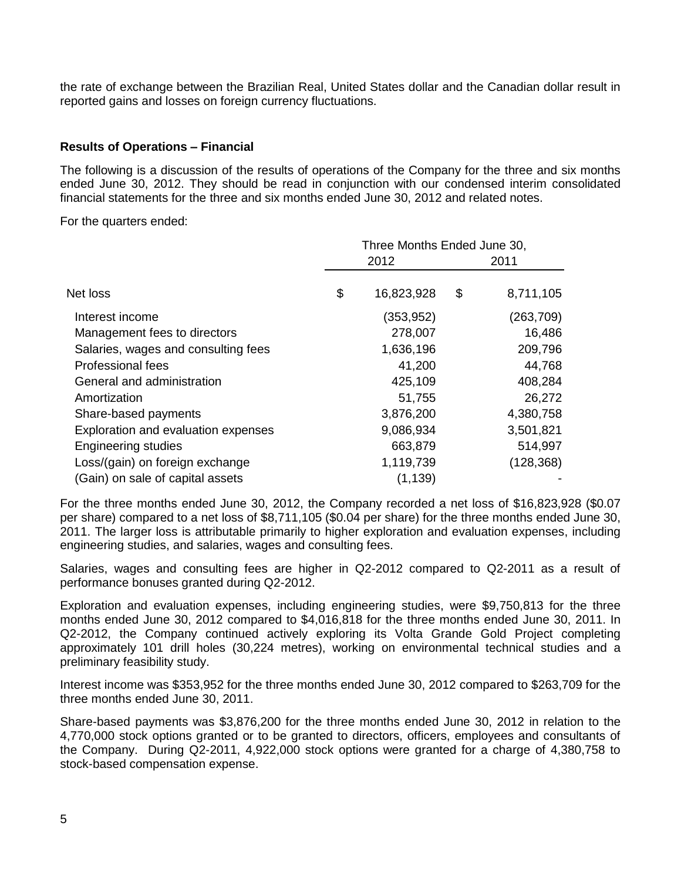the rate of exchange between the Brazilian Real, United States dollar and the Canadian dollar result in reported gains and losses on foreign currency fluctuations.

## **Results of Operations – Financial**

The following is a discussion of the results of operations of the Company for the three and six months ended June 30, 2012. They should be read in conjunction with our condensed interim consolidated financial statements for the three and six months ended June 30, 2012 and related notes.

For the quarters ended:

|                                     |  | Three Months Ended June 30, |    |            |  |  |
|-------------------------------------|--|-----------------------------|----|------------|--|--|
|                                     |  | 2012                        |    | 2011       |  |  |
| Net loss                            |  | 16,823,928                  | \$ | 8,711,105  |  |  |
| Interest income                     |  | (353, 952)                  |    | (263, 709) |  |  |
| Management fees to directors        |  | 278,007                     |    | 16,486     |  |  |
| Salaries, wages and consulting fees |  | 1,636,196                   |    | 209,796    |  |  |
| Professional fees                   |  | 41,200                      |    | 44,768     |  |  |
| General and administration          |  | 425,109                     |    | 408,284    |  |  |
| Amortization                        |  | 51,755                      |    | 26,272     |  |  |
| Share-based payments                |  | 3,876,200                   |    | 4,380,758  |  |  |
| Exploration and evaluation expenses |  | 9,086,934                   |    | 3,501,821  |  |  |
| <b>Engineering studies</b>          |  | 663,879                     |    | 514,997    |  |  |
| Loss/(gain) on foreign exchange     |  | 1,119,739                   |    | (128, 368) |  |  |
| (Gain) on sale of capital assets    |  | (1, 139)                    |    |            |  |  |

For the three months ended June 30, 2012, the Company recorded a net loss of \$16,823,928 (\$0.07 per share) compared to a net loss of \$8,711,105 (\$0.04 per share) for the three months ended June 30, 2011. The larger loss is attributable primarily to higher exploration and evaluation expenses, including engineering studies, and salaries, wages and consulting fees.

Salaries, wages and consulting fees are higher in Q2-2012 compared to Q2-2011 as a result of performance bonuses granted during Q2-2012.

Exploration and evaluation expenses, including engineering studies, were \$9,750,813 for the three months ended June 30, 2012 compared to \$4,016,818 for the three months ended June 30, 2011. In Q2-2012, the Company continued actively exploring its Volta Grande Gold Project completing approximately 101 drill holes (30,224 metres), working on environmental technical studies and a preliminary feasibility study.

Interest income was \$353,952 for the three months ended June 30, 2012 compared to \$263,709 for the three months ended June 30, 2011.

Share-based payments was \$3,876,200 for the three months ended June 30, 2012 in relation to the 4,770,000 stock options granted or to be granted to directors, officers, employees and consultants of the Company. During Q2-2011, 4,922,000 stock options were granted for a charge of 4,380,758 to stock-based compensation expense.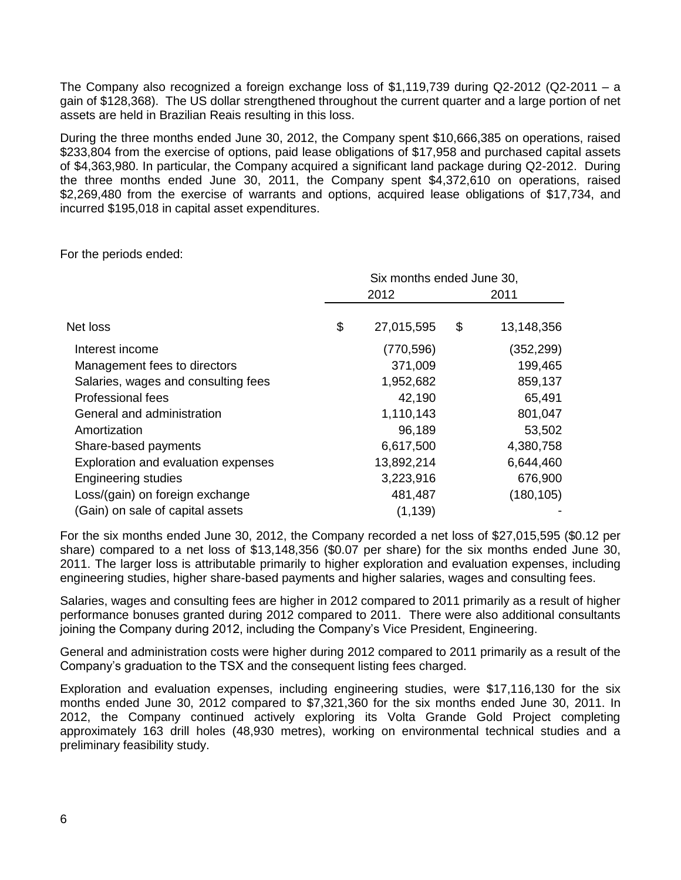The Company also recognized a foreign exchange loss of \$1,119,739 during Q2-2012 (Q2-2011 – a gain of \$128,368). The US dollar strengthened throughout the current quarter and a large portion of net assets are held in Brazilian Reais resulting in this loss.

During the three months ended June 30, 2012, the Company spent \$10,666,385 on operations, raised \$233,804 from the exercise of options, paid lease obligations of \$17,958 and purchased capital assets of \$4,363,980. In particular, the Company acquired a significant land package during Q2-2012. During the three months ended June 30, 2011, the Company spent \$4,372,610 on operations, raised \$2,269,480 from the exercise of warrants and options, acquired lease obligations of \$17,734, and incurred \$195,018 in capital asset expenditures.

For the periods ended:

|                                     | Six months ended June 30, |            |    |            |  |
|-------------------------------------|---------------------------|------------|----|------------|--|
|                                     | 2012                      |            |    | 2011       |  |
| Net loss                            | \$                        | 27,015,595 | \$ | 13,148,356 |  |
| Interest income                     |                           | (770, 596) |    | (352, 299) |  |
| Management fees to directors        |                           | 371,009    |    | 199,465    |  |
| Salaries, wages and consulting fees |                           | 1,952,682  |    | 859,137    |  |
| <b>Professional fees</b>            |                           | 42,190     |    | 65,491     |  |
| General and administration          |                           | 1,110,143  |    | 801,047    |  |
| Amortization                        |                           | 96,189     |    | 53,502     |  |
| Share-based payments                |                           | 6,617,500  |    | 4,380,758  |  |
| Exploration and evaluation expenses |                           | 13,892,214 |    | 6,644,460  |  |
| <b>Engineering studies</b>          |                           | 3,223,916  |    | 676,900    |  |
| Loss/(gain) on foreign exchange     |                           | 481,487    |    | (180, 105) |  |
| (Gain) on sale of capital assets    |                           | (1, 139)   |    |            |  |

For the six months ended June 30, 2012, the Company recorded a net loss of \$27,015,595 (\$0.12 per share) compared to a net loss of \$13,148,356 (\$0.07 per share) for the six months ended June 30, 2011. The larger loss is attributable primarily to higher exploration and evaluation expenses, including engineering studies, higher share-based payments and higher salaries, wages and consulting fees.

Salaries, wages and consulting fees are higher in 2012 compared to 2011 primarily as a result of higher performance bonuses granted during 2012 compared to 2011. There were also additional consultants joining the Company during 2012, including the Company's Vice President, Engineering.

General and administration costs were higher during 2012 compared to 2011 primarily as a result of the Company's graduation to the TSX and the consequent listing fees charged.

Exploration and evaluation expenses, including engineering studies, were \$17,116,130 for the six months ended June 30, 2012 compared to \$7,321,360 for the six months ended June 30, 2011. In 2012, the Company continued actively exploring its Volta Grande Gold Project completing approximately 163 drill holes (48,930 metres), working on environmental technical studies and a preliminary feasibility study.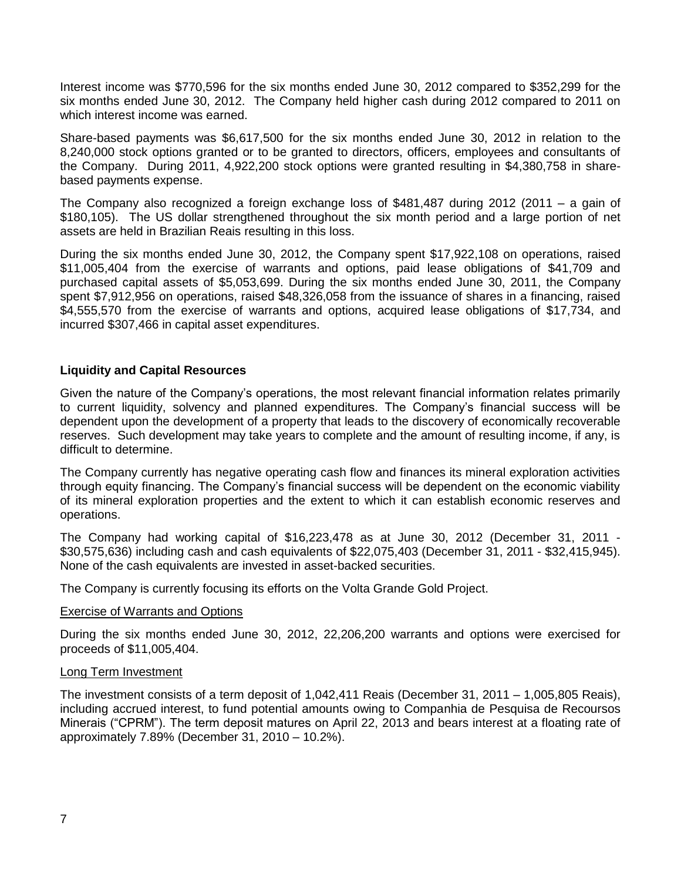Interest income was \$770,596 for the six months ended June 30, 2012 compared to \$352,299 for the six months ended June 30, 2012. The Company held higher cash during 2012 compared to 2011 on which interest income was earned.

Share-based payments was \$6,617,500 for the six months ended June 30, 2012 in relation to the 8,240,000 stock options granted or to be granted to directors, officers, employees and consultants of the Company. During 2011, 4,922,200 stock options were granted resulting in \$4,380,758 in sharebased payments expense.

The Company also recognized a foreign exchange loss of \$481,487 during 2012 (2011 – a gain of \$180,105). The US dollar strengthened throughout the six month period and a large portion of net assets are held in Brazilian Reais resulting in this loss.

During the six months ended June 30, 2012, the Company spent \$17,922,108 on operations, raised \$11,005,404 from the exercise of warrants and options, paid lease obligations of \$41,709 and purchased capital assets of \$5,053,699. During the six months ended June 30, 2011, the Company spent \$7,912,956 on operations, raised \$48,326,058 from the issuance of shares in a financing, raised \$4,555,570 from the exercise of warrants and options, acquired lease obligations of \$17,734, and incurred \$307,466 in capital asset expenditures.

# **Liquidity and Capital Resources**

Given the nature of the Company's operations, the most relevant financial information relates primarily to current liquidity, solvency and planned expenditures. The Company's financial success will be dependent upon the development of a property that leads to the discovery of economically recoverable reserves. Such development may take years to complete and the amount of resulting income, if any, is difficult to determine.

The Company currently has negative operating cash flow and finances its mineral exploration activities through equity financing. The Company's financial success will be dependent on the economic viability of its mineral exploration properties and the extent to which it can establish economic reserves and operations.

The Company had working capital of \$16,223,478 as at June 30, 2012 (December 31, 2011 - \$30,575,636) including cash and cash equivalents of \$22,075,403 (December 31, 2011 - \$32,415,945). None of the cash equivalents are invested in asset-backed securities.

The Company is currently focusing its efforts on the Volta Grande Gold Project.

#### Exercise of Warrants and Options

During the six months ended June 30, 2012, 22,206,200 warrants and options were exercised for proceeds of \$11,005,404.

#### Long Term Investment

The investment consists of a term deposit of 1,042,411 Reais (December 31, 2011 – 1,005,805 Reais), including accrued interest, to fund potential amounts owing to Companhia de Pesquisa de Recoursos Minerais ("CPRM"). The term deposit matures on April 22, 2013 and bears interest at a floating rate of approximately 7.89% (December 31, 2010 – 10.2%).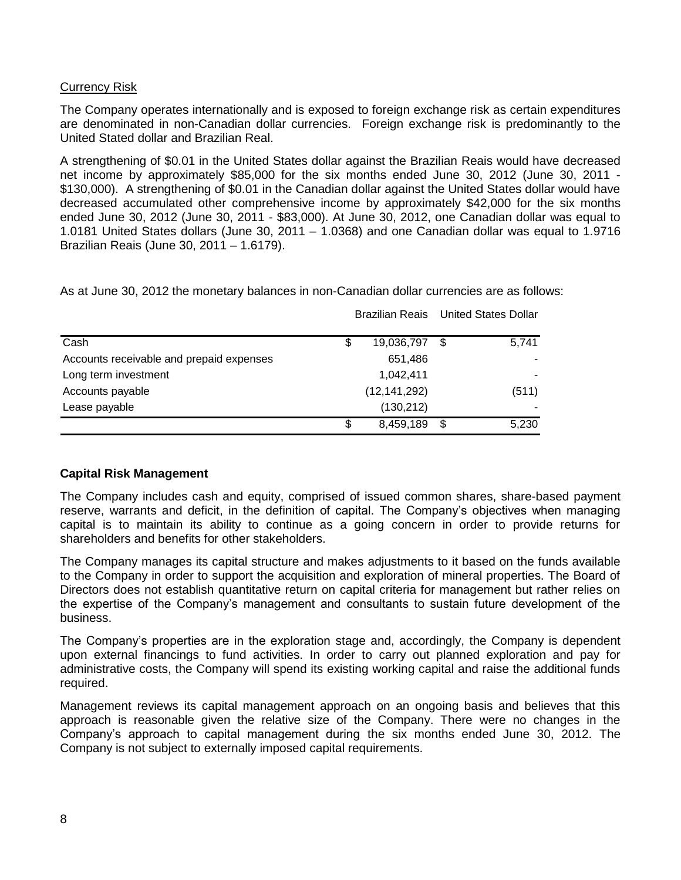# Currency Risk

The Company operates internationally and is exposed to foreign exchange risk as certain expenditures are denominated in non-Canadian dollar currencies. Foreign exchange risk is predominantly to the United Stated dollar and Brazilian Real.

A strengthening of \$0.01 in the United States dollar against the Brazilian Reais would have decreased net income by approximately \$85,000 for the six months ended June 30, 2012 (June 30, 2011 - \$130,000). A strengthening of \$0.01 in the Canadian dollar against the United States dollar would have decreased accumulated other comprehensive income by approximately \$42,000 for the six months ended June 30, 2012 (June 30, 2011 - \$83,000). At June 30, 2012, one Canadian dollar was equal to 1.0181 United States dollars (June 30, 2011 – 1.0368) and one Canadian dollar was equal to 1.9716 Brazilian Reais (June 30, 2011 – 1.6179).

|                                          | <b>Brazilian Reais</b> United States Dollar |   |       |
|------------------------------------------|---------------------------------------------|---|-------|
| Cash                                     | \$<br>19,036,797                            | S | 5,741 |
| Accounts receivable and prepaid expenses | 651,486                                     |   |       |
| Long term investment                     | 1,042,411                                   |   |       |
| Accounts payable                         | (12, 141, 292)                              |   | (511) |
| Lease payable                            | (130, 212)                                  |   |       |
|                                          | \$<br>8,459,189                             | S | 5,230 |

As at June 30, 2012 the monetary balances in non-Canadian dollar currencies are as follows:

# **Capital Risk Management**

The Company includes cash and equity, comprised of issued common shares, share-based payment reserve, warrants and deficit, in the definition of capital. The Company's objectives when managing capital is to maintain its ability to continue as a going concern in order to provide returns for shareholders and benefits for other stakeholders.

The Company manages its capital structure and makes adjustments to it based on the funds available to the Company in order to support the acquisition and exploration of mineral properties. The Board of Directors does not establish quantitative return on capital criteria for management but rather relies on the expertise of the Company's management and consultants to sustain future development of the business.

The Company's properties are in the exploration stage and, accordingly, the Company is dependent upon external financings to fund activities. In order to carry out planned exploration and pay for administrative costs, the Company will spend its existing working capital and raise the additional funds required.

Management reviews its capital management approach on an ongoing basis and believes that this approach is reasonable given the relative size of the Company. There were no changes in the Company's approach to capital management during the six months ended June 30, 2012. The Company is not subject to externally imposed capital requirements.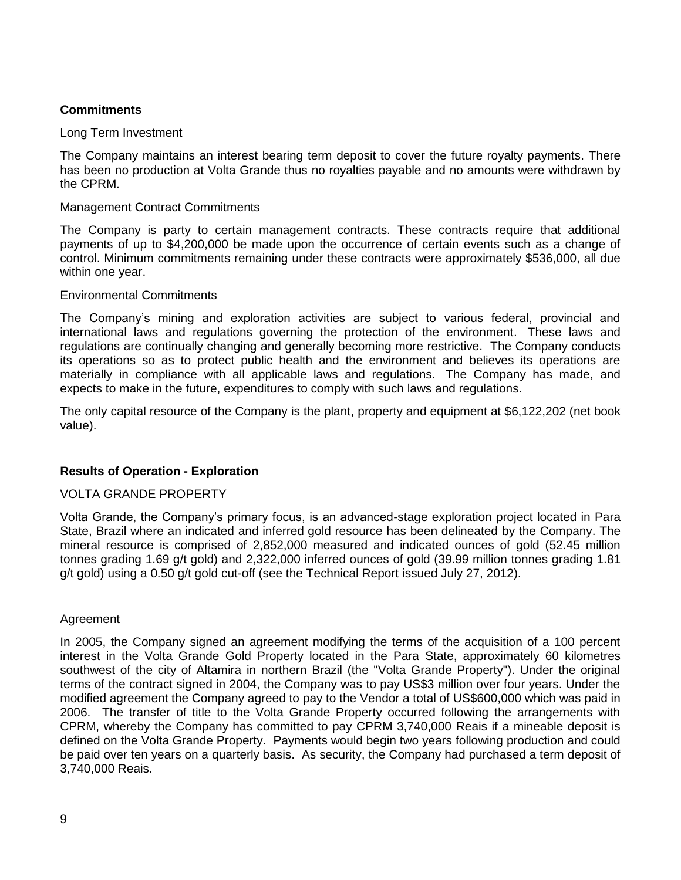# **Commitments**

## Long Term Investment

The Company maintains an interest bearing term deposit to cover the future royalty payments. There has been no production at Volta Grande thus no royalties payable and no amounts were withdrawn by the CPRM.

## Management Contract Commitments

The Company is party to certain management contracts. These contracts require that additional payments of up to \$4,200,000 be made upon the occurrence of certain events such as a change of control. Minimum commitments remaining under these contracts were approximately \$536,000, all due within one year.

## Environmental Commitments

The Company's mining and exploration activities are subject to various federal, provincial and international laws and regulations governing the protection of the environment. These laws and regulations are continually changing and generally becoming more restrictive. The Company conducts its operations so as to protect public health and the environment and believes its operations are materially in compliance with all applicable laws and regulations. The Company has made, and expects to make in the future, expenditures to comply with such laws and regulations.

The only capital resource of the Company is the plant, property and equipment at \$6,122,202 (net book value).

# **Results of Operation - Exploration**

# VOLTA GRANDE PROPERTY

Volta Grande, the Company's primary focus, is an advanced-stage exploration project located in Para State, Brazil where an indicated and inferred gold resource has been delineated by the Company. The mineral resource is comprised of 2,852,000 measured and indicated ounces of gold (52.45 million tonnes grading 1.69 g/t gold) and 2,322,000 inferred ounces of gold (39.99 million tonnes grading 1.81 g/t gold) using a 0.50 g/t gold cut-off (see the Technical Report issued July 27, 2012).

#### Agreement

In 2005, the Company signed an agreement modifying the terms of the acquisition of a 100 percent interest in the Volta Grande Gold Property located in the Para State, approximately 60 kilometres southwest of the city of Altamira in northern Brazil (the "Volta Grande Property"). Under the original terms of the contract signed in 2004, the Company was to pay US\$3 million over four years. Under the modified agreement the Company agreed to pay to the Vendor a total of US\$600,000 which was paid in 2006. The transfer of title to the Volta Grande Property occurred following the arrangements with CPRM, whereby the Company has committed to pay CPRM 3,740,000 Reais if a mineable deposit is defined on the Volta Grande Property. Payments would begin two years following production and could be paid over ten years on a quarterly basis. As security, the Company had purchased a term deposit of 3,740,000 Reais.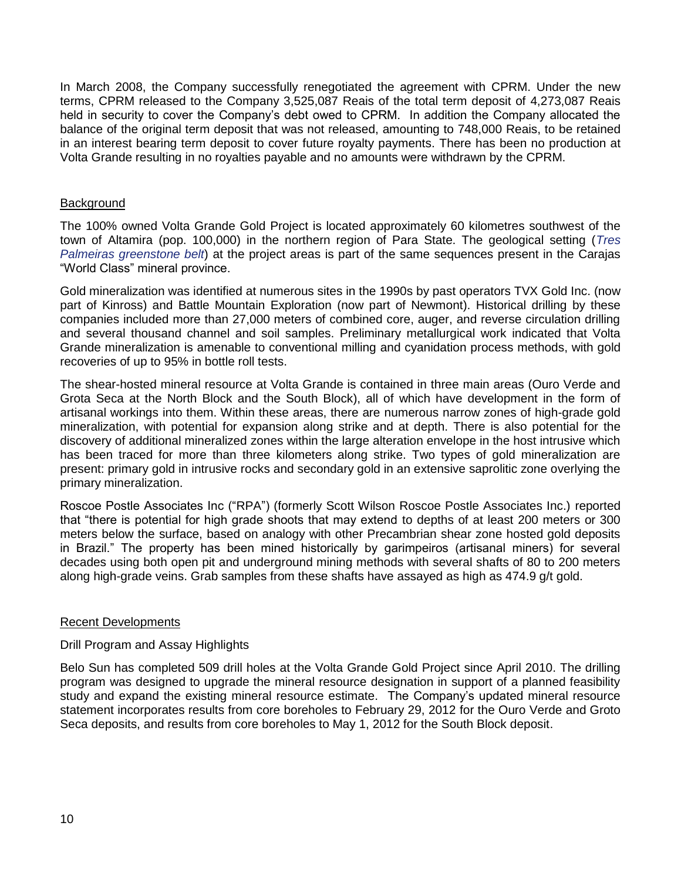In March 2008, the Company successfully renegotiated the agreement with CPRM. Under the new terms, CPRM released to the Company 3,525,087 Reais of the total term deposit of 4,273,087 Reais held in security to cover the Company's debt owed to CPRM. In addition the Company allocated the balance of the original term deposit that was not released, amounting to 748,000 Reais, to be retained in an interest bearing term deposit to cover future royalty payments. There has been no production at Volta Grande resulting in no royalties payable and no amounts were withdrawn by the CPRM.

## **Background**

The 100% owned Volta Grande Gold Project is located approximately 60 kilometres southwest of the town of Altamira (pop. 100,000) in the northern region of Para State. The geological setting (*Tres Palmeiras greenstone belt*) at the project areas is part of the same sequences present in the Carajas "World Class" mineral province.

Gold mineralization was identified at numerous sites in the 1990s by past operators TVX Gold Inc. (now part of Kinross) and Battle Mountain Exploration (now part of Newmont). Historical drilling by these companies included more than 27,000 meters of combined core, auger, and reverse circulation drilling and several thousand channel and soil samples. Preliminary metallurgical work indicated that Volta Grande mineralization is amenable to conventional milling and cyanidation process methods, with gold recoveries of up to 95% in bottle roll tests.

The shear-hosted mineral resource at Volta Grande is contained in three main areas (Ouro Verde and Grota Seca at the North Block and the South Block), all of which have development in the form of artisanal workings into them. Within these areas, there are numerous narrow zones of high-grade gold mineralization, with potential for expansion along strike and at depth. There is also potential for the discovery of additional mineralized zones within the large alteration envelope in the host intrusive which has been traced for more than three kilometers along strike. Two types of gold mineralization are present: primary gold in intrusive rocks and secondary gold in an extensive saprolitic zone overlying the primary mineralization.

Roscoe Postle Associates Inc ("RPA") (formerly Scott Wilson Roscoe Postle Associates Inc.) reported that "there is potential for high grade shoots that may extend to depths of at least 200 meters or 300 meters below the surface, based on analogy with other Precambrian shear zone hosted gold deposits in Brazil." The property has been mined historically by garimpeiros (artisanal miners) for several decades using both open pit and underground mining methods with several shafts of 80 to 200 meters along high-grade veins. Grab samples from these shafts have assayed as high as 474.9 g/t gold.

# Recent Developments

# Drill Program and Assay Highlights

Belo Sun has completed 509 drill holes at the Volta Grande Gold Project since April 2010. The drilling program was designed to upgrade the mineral resource designation in support of a planned feasibility study and expand the existing mineral resource estimate. The Company's updated mineral resource statement incorporates results from core boreholes to February 29, 2012 for the Ouro Verde and Groto Seca deposits, and results from core boreholes to May 1, 2012 for the South Block deposit.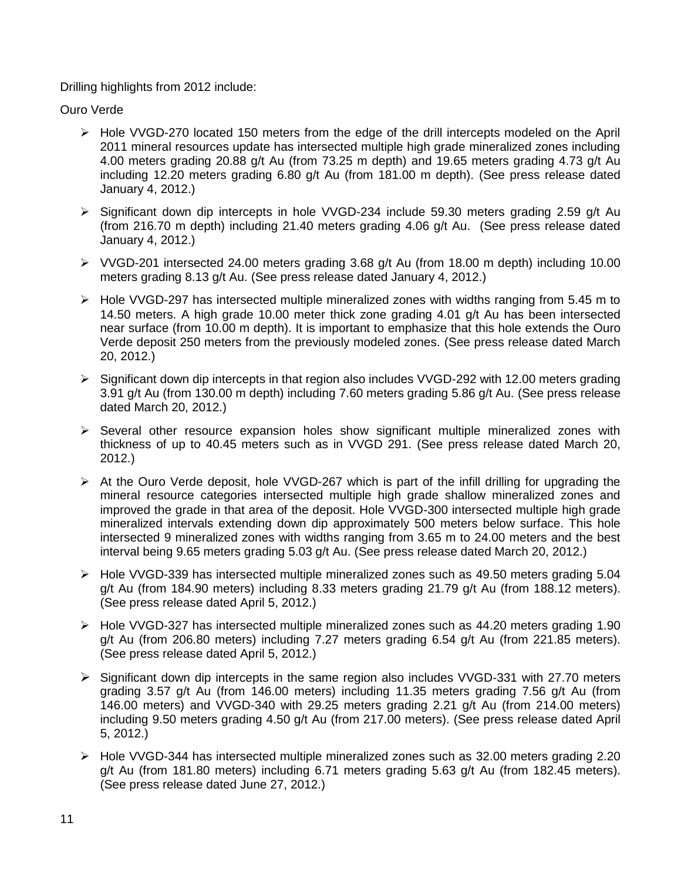# Drilling highlights from 2012 include:

Ouro Verde

- Hole VVGD-270 located 150 meters from the edge of the drill intercepts modeled on the April 2011 mineral resources update has intersected multiple high grade mineralized zones including 4.00 meters grading 20.88 g/t Au (from 73.25 m depth) and 19.65 meters grading 4.73 g/t Au including 12.20 meters grading 6.80 g/t Au (from 181.00 m depth). (See press release dated January 4, 2012.)
- > Significant down dip intercepts in hole VVGD-234 include 59.30 meters grading 2.59 g/t Au (from 216.70 m depth) including 21.40 meters grading 4.06 g/t Au. (See press release dated January 4, 2012.)
- VVGD-201 intersected 24.00 meters grading 3.68 g/t Au (from 18.00 m depth) including 10.00 meters grading 8.13 g/t Au. (See press release dated January 4, 2012.)
- $\triangleright$  Hole VVGD-297 has intersected multiple mineralized zones with widths ranging from 5.45 m to 14.50 meters. A high grade 10.00 meter thick zone grading 4.01 g/t Au has been intersected near surface (from 10.00 m depth). It is important to emphasize that this hole extends the Ouro Verde deposit 250 meters from the previously modeled zones. (See press release dated March 20, 2012.)
- Significant down dip intercepts in that region also includes VVGD-292 with 12.00 meters grading 3.91 g/t Au (from 130.00 m depth) including 7.60 meters grading 5.86 g/t Au. (See press release dated March 20, 2012.)
- $\triangleright$  Several other resource expansion holes show significant multiple mineralized zones with thickness of up to 40.45 meters such as in VVGD 291. (See press release dated March 20, 2012.)
- $\triangleright$  At the Ouro Verde deposit, hole VVGD-267 which is part of the infill drilling for upgrading the mineral resource categories intersected multiple high grade shallow mineralized zones and improved the grade in that area of the deposit. Hole VVGD-300 intersected multiple high grade mineralized intervals extending down dip approximately 500 meters below surface. This hole intersected 9 mineralized zones with widths ranging from 3.65 m to 24.00 meters and the best interval being 9.65 meters grading 5.03 g/t Au. (See press release dated March 20, 2012.)
- $\triangleright$  Hole VVGD-339 has intersected multiple mineralized zones such as 49.50 meters grading 5.04 g/t Au (from 184.90 meters) including 8.33 meters grading 21.79 g/t Au (from 188.12 meters). (See press release dated April 5, 2012.)
- $\triangleright$  Hole VVGD-327 has intersected multiple mineralized zones such as 44.20 meters grading 1.90 g/t Au (from 206.80 meters) including 7.27 meters grading 6.54 g/t Au (from 221.85 meters). (See press release dated April 5, 2012.)
- $\triangleright$  Significant down dip intercepts in the same region also includes VVGD-331 with 27.70 meters grading 3.57 g/t Au (from 146.00 meters) including 11.35 meters grading 7.56 g/t Au (from 146.00 meters) and VVGD-340 with 29.25 meters grading 2.21 g/t Au (from 214.00 meters) including 9.50 meters grading 4.50 g/t Au (from 217.00 meters). (See press release dated April 5, 2012.)
- Hole VVGD-344 has intersected multiple mineralized zones such as 32.00 meters grading 2.20 g/t Au (from 181.80 meters) including 6.71 meters grading 5.63 g/t Au (from 182.45 meters). (See press release dated June 27, 2012.)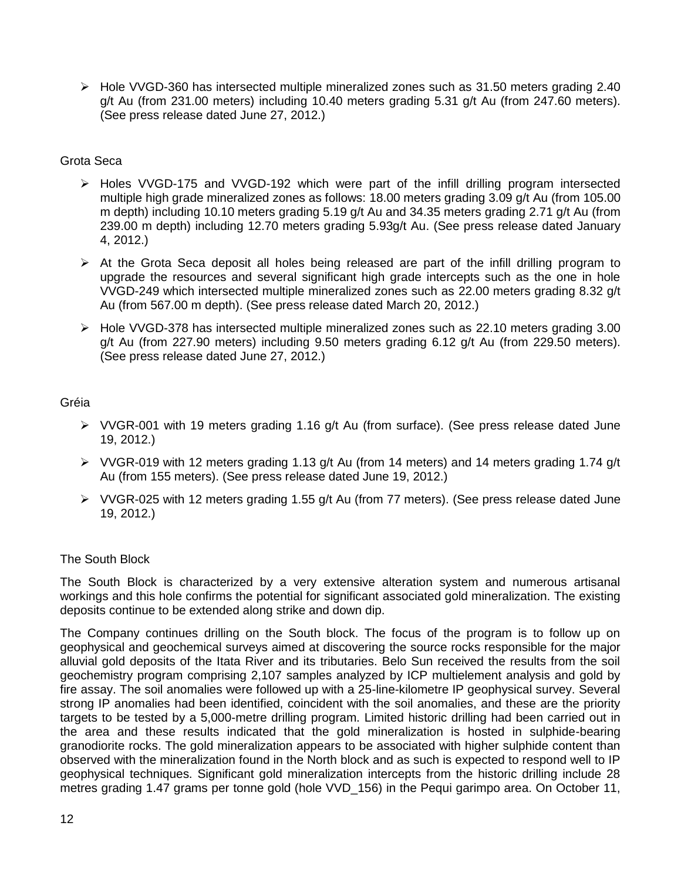$\triangleright$  Hole VVGD-360 has intersected multiple mineralized zones such as 31.50 meters grading 2.40 g/t Au (from 231.00 meters) including 10.40 meters grading 5.31 g/t Au (from 247.60 meters). (See press release dated June 27, 2012.)

## Grota Seca

- $\triangleright$  Holes VVGD-175 and VVGD-192 which were part of the infill drilling program intersected multiple high grade mineralized zones as follows: 18.00 meters grading 3.09 g/t Au (from 105.00 m depth) including 10.10 meters grading 5.19 g/t Au and 34.35 meters grading 2.71 g/t Au (from 239.00 m depth) including 12.70 meters grading 5.93g/t Au. (See press release dated January 4, 2012.)
- $\triangleright$  At the Grota Seca deposit all holes being released are part of the infill drilling program to upgrade the resources and several significant high grade intercepts such as the one in hole VVGD-249 which intersected multiple mineralized zones such as 22.00 meters grading 8.32 g/t Au (from 567.00 m depth). (See press release dated March 20, 2012.)
- Hole VVGD-378 has intersected multiple mineralized zones such as 22.10 meters grading 3.00 g/t Au (from 227.90 meters) including 9.50 meters grading 6.12 g/t Au (from 229.50 meters). (See press release dated June 27, 2012.)

# Gréia

- $\triangleright$  VVGR-001 with 19 meters grading 1.16 g/t Au (from surface). (See press release dated June 19, 2012.)
- $\triangleright$  VVGR-019 with 12 meters grading 1.13 g/t Au (from 14 meters) and 14 meters grading 1.74 g/t Au (from 155 meters). (See press release dated June 19, 2012.)
- $\triangleright$  VVGR-025 with 12 meters grading 1.55 g/t Au (from 77 meters). (See press release dated June 19, 2012.)

# The South Block

The South Block is characterized by a very extensive alteration system and numerous artisanal workings and this hole confirms the potential for significant associated gold mineralization. The existing deposits continue to be extended along strike and down dip.

The Company continues drilling on the South block. The focus of the program is to follow up on geophysical and geochemical surveys aimed at discovering the source rocks responsible for the major alluvial gold deposits of the Itata River and its tributaries. Belo Sun received the results from the soil geochemistry program comprising 2,107 samples analyzed by ICP multielement analysis and gold by fire assay. The soil anomalies were followed up with a 25-line-kilometre IP geophysical survey. Several strong IP anomalies had been identified, coincident with the soil anomalies, and these are the priority targets to be tested by a 5,000-metre drilling program. Limited historic drilling had been carried out in the area and these results indicated that the gold mineralization is hosted in sulphide-bearing granodiorite rocks. The gold mineralization appears to be associated with higher sulphide content than observed with the mineralization found in the North block and as such is expected to respond well to IP geophysical techniques. Significant gold mineralization intercepts from the historic drilling include 28 metres grading 1.47 grams per tonne gold (hole VVD\_156) in the Pequi garimpo area. On October 11,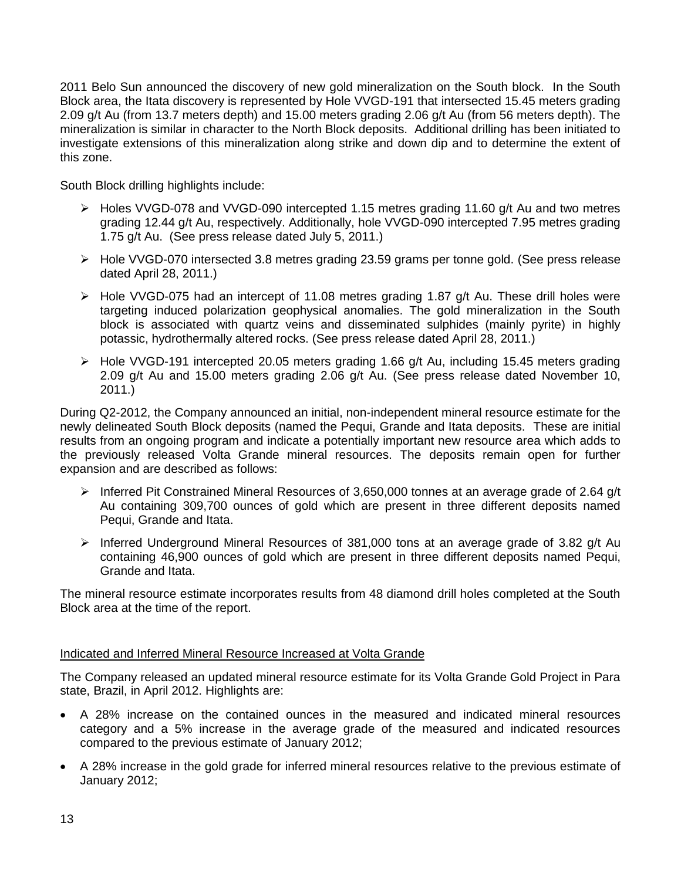2011 Belo Sun announced the discovery of new gold mineralization on the South block. In the South Block area, the Itata discovery is represented by Hole VVGD-191 that intersected 15.45 meters grading 2.09 g/t Au (from 13.7 meters depth) and 15.00 meters grading 2.06 g/t Au (from 56 meters depth). The mineralization is similar in character to the North Block deposits. Additional drilling has been initiated to investigate extensions of this mineralization along strike and down dip and to determine the extent of this zone.

South Block drilling highlights include:

- $\triangleright$  Holes VVGD-078 and VVGD-090 intercepted 1.15 metres grading 11.60 g/t Au and two metres grading 12.44 g/t Au, respectively. Additionally, hole VVGD-090 intercepted 7.95 metres grading 1.75 g/t Au. (See press release dated July 5, 2011.)
- Hole VVGD-070 intersected 3.8 metres grading 23.59 grams per tonne gold. (See press release dated April 28, 2011.)
- $\triangleright$  Hole VVGD-075 had an intercept of 11.08 metres grading 1.87 g/t Au. These drill holes were targeting induced polarization geophysical anomalies. The gold mineralization in the South block is associated with quartz veins and disseminated sulphides (mainly pyrite) in highly potassic, hydrothermally altered rocks. (See press release dated April 28, 2011.)
- $\triangleright$  Hole VVGD-191 intercepted 20.05 meters grading 1.66 g/t Au, including 15.45 meters grading 2.09 g/t Au and 15.00 meters grading 2.06 g/t Au. (See press release dated November 10, 2011.)

During Q2-2012, the Company announced an initial, non-independent mineral resource estimate for the newly delineated South Block deposits (named the Pequi, Grande and Itata deposits. These are initial results from an ongoing program and indicate a potentially important new resource area which adds to the previously released Volta Grande mineral resources. The deposits remain open for further expansion and are described as follows:

- $\triangleright$  Inferred Pit Constrained Mineral Resources of 3,650,000 tonnes at an average grade of 2.64 g/t Au containing 309,700 ounces of gold which are present in three different deposits named Pequi, Grande and Itata.
- $\triangleright$  Inferred Underground Mineral Resources of 381,000 tons at an average grade of 3.82 g/t Au containing 46,900 ounces of gold which are present in three different deposits named Pequi, Grande and Itata.

The mineral resource estimate incorporates results from 48 diamond drill holes completed at the South Block area at the time of the report.

# Indicated and Inferred Mineral Resource Increased at Volta Grande

The Company released an updated mineral resource estimate for its Volta Grande Gold Project in Para state, Brazil, in April 2012. Highlights are:

- A 28% increase on the contained ounces in the measured and indicated mineral resources category and a 5% increase in the average grade of the measured and indicated resources compared to the previous estimate of January 2012;
- A 28% increase in the gold grade for inferred mineral resources relative to the previous estimate of January 2012;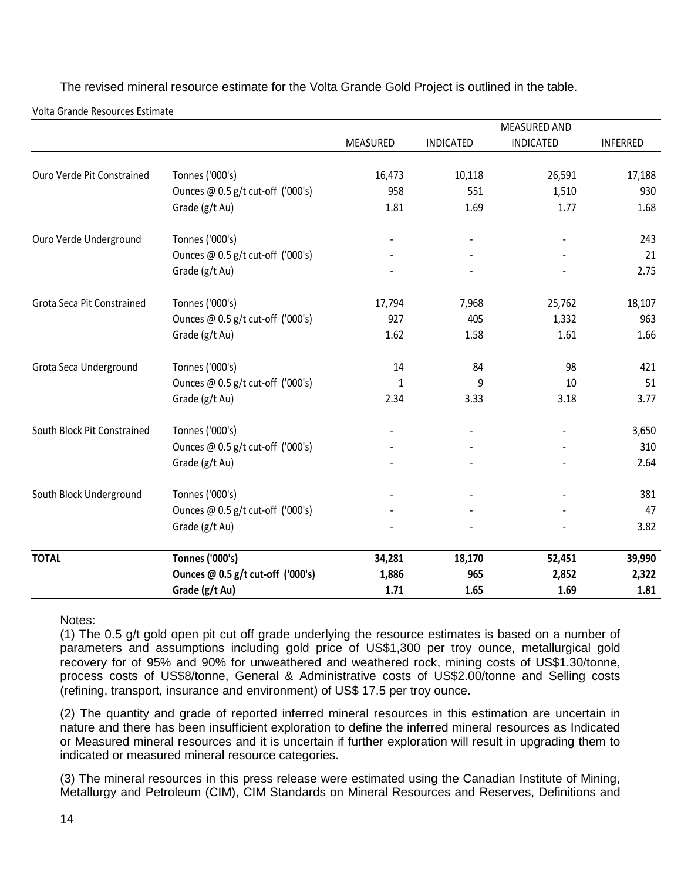The revised mineral resource estimate for the Volta Grande Gold Project is outlined in the table.

Volta Grande Resources Estimate

|                             |                                   |          |                  | <b>MEASURED AND</b> |                 |
|-----------------------------|-----------------------------------|----------|------------------|---------------------|-----------------|
|                             |                                   | MEASURED | <b>INDICATED</b> | <b>INDICATED</b>    | <b>INFERRED</b> |
| Ouro Verde Pit Constrained  | Tonnes ('000's)                   | 16,473   | 10,118           | 26,591              | 17,188          |
|                             | Ounces @ 0.5 g/t cut-off ('000's) | 958      | 551              | 1,510               | 930             |
|                             | Grade (g/t Au)                    | 1.81     | 1.69             | 1.77                | 1.68            |
| Ouro Verde Underground      | Tonnes ('000's)                   |          |                  |                     | 243             |
|                             | Ounces @ 0.5 g/t cut-off ('000's) |          |                  |                     | 21              |
|                             | Grade (g/t Au)                    |          |                  |                     | 2.75            |
| Grota Seca Pit Constrained  | Tonnes ('000's)                   | 17,794   | 7,968            | 25,762              | 18,107          |
|                             | Ounces @ 0.5 g/t cut-off ('000's) | 927      | 405              | 1,332               | 963             |
|                             | Grade (g/t Au)                    | 1.62     | 1.58             | 1.61                | 1.66            |
| Grota Seca Underground      | Tonnes ('000's)                   | 14       | 84               | 98                  | 421             |
|                             | Ounces @ 0.5 g/t cut-off ('000's) | 1        | 9                | 10                  | 51              |
|                             | Grade (g/t Au)                    | 2.34     | 3.33             | 3.18                | 3.77            |
| South Block Pit Constrained | Tonnes ('000's)                   |          |                  |                     | 3,650           |
|                             | Ounces @ 0.5 g/t cut-off ('000's) |          |                  |                     | 310             |
|                             | Grade (g/t Au)                    |          |                  |                     | 2.64            |
| South Block Underground     | Tonnes ('000's)                   |          |                  |                     | 381             |
|                             | Ounces @ 0.5 g/t cut-off ('000's) |          |                  |                     | 47              |
|                             | Grade (g/t Au)                    |          |                  |                     | 3.82            |
| <b>TOTAL</b>                | <b>Tonnes ('000's)</b>            | 34,281   | 18,170           | 52,451              | 39,990          |
|                             | Ounces @ 0.5 g/t cut-off ('000's) | 1,886    | 965              | 2,852               | 2,322           |
|                             | Grade (g/t Au)                    | 1.71     | 1.65             | 1.69                | 1.81            |

Notes:

(1) The 0.5 g/t gold open pit cut off grade underlying the resource estimates is based on a number of parameters and assumptions including gold price of US\$1,300 per troy ounce, metallurgical gold recovery for of 95% and 90% for unweathered and weathered rock, mining costs of US\$1.30/tonne, process costs of US\$8/tonne, General & Administrative costs of US\$2.00/tonne and Selling costs (refining, transport, insurance and environment) of US\$ 17.5 per troy ounce.

(2) The quantity and grade of reported inferred mineral resources in this estimation are uncertain in nature and there has been insufficient exploration to define the inferred mineral resources as Indicated or Measured mineral resources and it is uncertain if further exploration will result in upgrading them to indicated or measured mineral resource categories.

(3) The mineral resources in this press release were estimated using the Canadian Institute of Mining, Metallurgy and Petroleum (CIM), CIM Standards on Mineral Resources and Reserves, Definitions and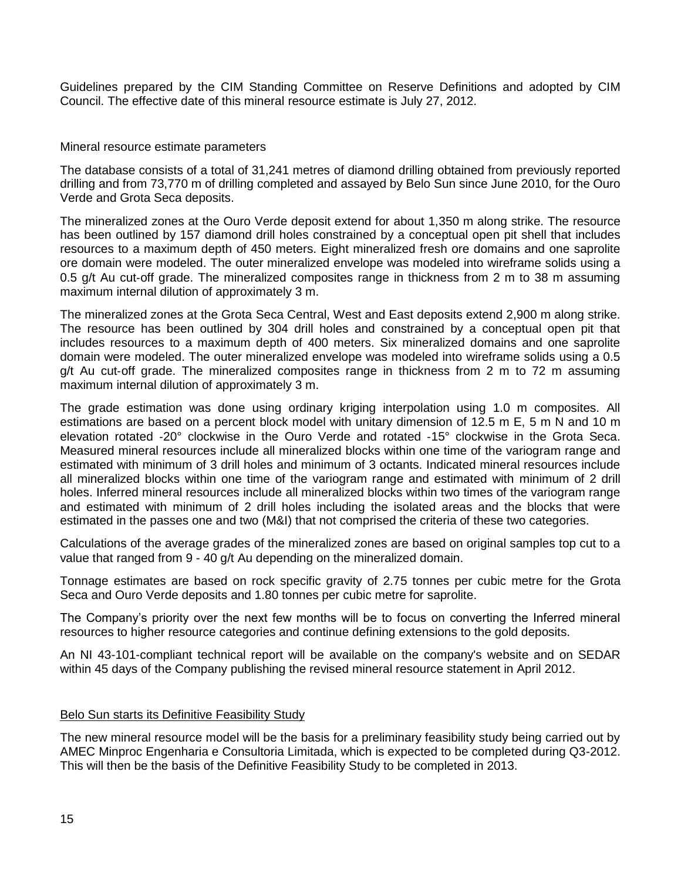Guidelines prepared by the CIM Standing Committee on Reserve Definitions and adopted by CIM Council. The effective date of this mineral resource estimate is July 27, 2012.

#### Mineral resource estimate parameters

The database consists of a total of 31,241 metres of diamond drilling obtained from previously reported drilling and from 73,770 m of drilling completed and assayed by Belo Sun since June 2010, for the Ouro Verde and Grota Seca deposits.

The mineralized zones at the Ouro Verde deposit extend for about 1,350 m along strike. The resource has been outlined by 157 diamond drill holes constrained by a conceptual open pit shell that includes resources to a maximum depth of 450 meters. Eight mineralized fresh ore domains and one saprolite ore domain were modeled. The outer mineralized envelope was modeled into wireframe solids using a 0.5 g/t Au cut-off grade. The mineralized composites range in thickness from 2 m to 38 m assuming maximum internal dilution of approximately 3 m.

The mineralized zones at the Grota Seca Central, West and East deposits extend 2,900 m along strike. The resource has been outlined by 304 drill holes and constrained by a conceptual open pit that includes resources to a maximum depth of 400 meters. Six mineralized domains and one saprolite domain were modeled. The outer mineralized envelope was modeled into wireframe solids using a 0.5 g/t Au cut-off grade. The mineralized composites range in thickness from 2 m to 72 m assuming maximum internal dilution of approximately 3 m.

The grade estimation was done using ordinary kriging interpolation using 1.0 m composites. All estimations are based on a percent block model with unitary dimension of 12.5 m E, 5 m N and 10 m elevation rotated ‐20° clockwise in the Ouro Verde and rotated ‐15° clockwise in the Grota Seca. Measured mineral resources include all mineralized blocks within one time of the variogram range and estimated with minimum of 3 drill holes and minimum of 3 octants. Indicated mineral resources include all mineralized blocks within one time of the variogram range and estimated with minimum of 2 drill holes. Inferred mineral resources include all mineralized blocks within two times of the variogram range and estimated with minimum of 2 drill holes including the isolated areas and the blocks that were estimated in the passes one and two (M&I) that not comprised the criteria of these two categories.

Calculations of the average grades of the mineralized zones are based on original samples top cut to a value that ranged from 9 - 40 g/t Au depending on the mineralized domain.

Tonnage estimates are based on rock specific gravity of 2.75 tonnes per cubic metre for the Grota Seca and Ouro Verde deposits and 1.80 tonnes per cubic metre for saprolite.

The Company's priority over the next few months will be to focus on converting the Inferred mineral resources to higher resource categories and continue defining extensions to the gold deposits.

An NI 43-101-compliant technical report will be available on the company's website and on SEDAR within 45 days of the Company publishing the revised mineral resource statement in April 2012.

#### Belo Sun starts its Definitive Feasibility Study

The new mineral resource model will be the basis for a preliminary feasibility study being carried out by AMEC Minproc Engenharia e Consultoria Limitada, which is expected to be completed during Q3-2012. This will then be the basis of the Definitive Feasibility Study to be completed in 2013.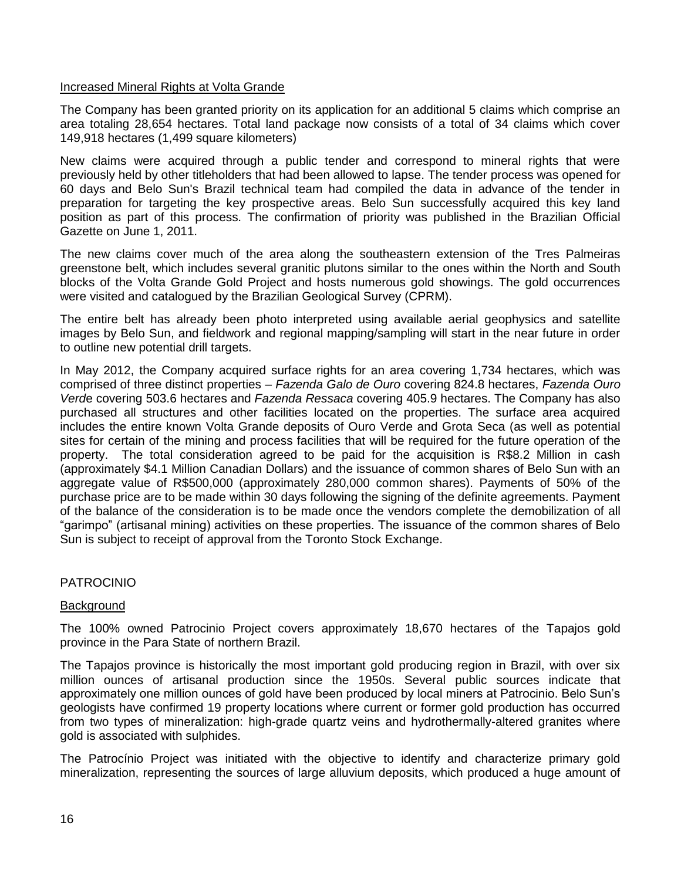## Increased Mineral Rights at Volta Grande

The Company has been granted priority on its application for an additional 5 claims which comprise an area totaling 28,654 hectares. Total land package now consists of a total of 34 claims which cover 149,918 hectares (1,499 square kilometers)

New claims were acquired through a public tender and correspond to mineral rights that were previously held by other titleholders that had been allowed to lapse. The tender process was opened for 60 days and Belo Sun's Brazil technical team had compiled the data in advance of the tender in preparation for targeting the key prospective areas. Belo Sun successfully acquired this key land position as part of this process. The confirmation of priority was published in the Brazilian Official Gazette on June 1, 2011.

The new claims cover much of the area along the southeastern extension of the Tres Palmeiras greenstone belt, which includes several granitic plutons similar to the ones within the North and South blocks of the Volta Grande Gold Project and hosts numerous gold showings. The gold occurrences were visited and catalogued by the Brazilian Geological Survey (CPRM).

The entire belt has already been photo interpreted using available aerial geophysics and satellite images by Belo Sun, and fieldwork and regional mapping/sampling will start in the near future in order to outline new potential drill targets.

In May 2012, the Company acquired surface rights for an area covering 1,734 hectares, which was comprised of three distinct properties – *Fazenda Galo de Ouro* covering 824.8 hectares, *Fazenda Ouro Verd*e covering 503.6 hectares and *Fazenda Ressaca* covering 405.9 hectares. The Company has also purchased all structures and other facilities located on the properties. The surface area acquired includes the entire known Volta Grande deposits of Ouro Verde and Grota Seca (as well as potential sites for certain of the mining and process facilities that will be required for the future operation of the property. The total consideration agreed to be paid for the acquisition is R\$8.2 Million in cash (approximately \$4.1 Million Canadian Dollars) and the issuance of common shares of Belo Sun with an aggregate value of R\$500,000 (approximately 280,000 common shares). Payments of 50% of the purchase price are to be made within 30 days following the signing of the definite agreements. Payment of the balance of the consideration is to be made once the vendors complete the demobilization of all "garimpo" (artisanal mining) activities on these properties. The issuance of the common shares of Belo Sun is subject to receipt of approval from the Toronto Stock Exchange.

# PATROCINIO

#### **Background**

The 100% owned Patrocinio Project covers approximately 18,670 hectares of the Tapajos gold province in the Para State of northern Brazil.

The Tapajos province is historically the most important gold producing region in Brazil, with over six million ounces of artisanal production since the 1950s. Several public sources indicate that approximately one million ounces of gold have been produced by local miners at Patrocinio. Belo Sun's geologists have confirmed 19 property locations where current or former gold production has occurred from two types of mineralization: high-grade quartz veins and hydrothermally-altered granites where gold is associated with sulphides.

The Patrocínio Project was initiated with the objective to identify and characterize primary gold mineralization, representing the sources of large alluvium deposits, which produced a huge amount of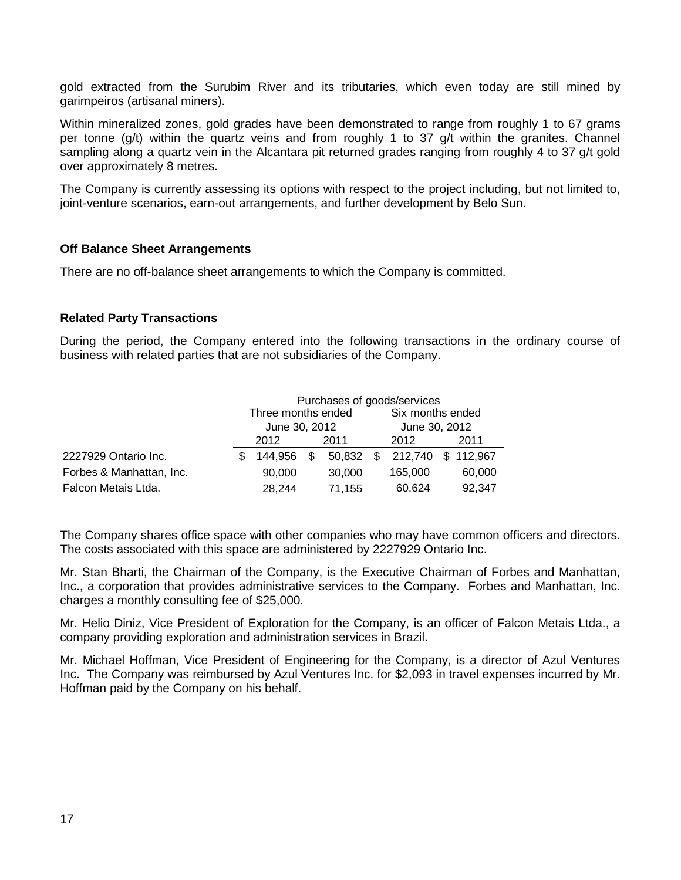gold extracted from the Surubim River and its tributaries, which even today are still mined by garimpeiros (artisanal miners).

Within mineralized zones, gold grades have been demonstrated to range from roughly 1 to 67 grams per tonne (g/t) within the quartz veins and from roughly 1 to 37 g/t within the granites. Channel sampling along a quartz vein in the Alcantara pit returned grades ranging from roughly 4 to 37 g/t gold over approximately 8 metres.

The Company is currently assessing its options with respect to the project including, but not limited to, joint-venture scenarios, earn-out arrangements, and further development by Belo Sun.

## **Off Balance Sheet Arrangements**

There are no off-balance sheet arrangements to which the Company is committed.

#### **Related Party Transactions**

During the period, the Company entered into the following transactions in the ordinary course of business with related parties that are not subsidiaries of the Company.

|                          | Purchases of goods/services |            |      |        |               |                              |  |        |
|--------------------------|-----------------------------|------------|------|--------|---------------|------------------------------|--|--------|
|                          | Three months ended          |            |      |        |               | Six months ended             |  |        |
|                          | June 30, 2012               |            |      |        | June 30, 2012 |                              |  |        |
|                          | 2012<br>2011                |            | 2012 |        |               | 2011                         |  |        |
| 2227929 Ontario Inc.     | \$.                         | 144,956 \$ |      |        |               | 50,832 \$ 212,740 \$ 112,967 |  |        |
| Forbes & Manhattan, Inc. |                             | 90,000     |      | 30,000 |               | 165,000                      |  | 60,000 |
| Falcon Metais Ltda.      |                             | 28,244     |      | 71,155 |               | 60,624                       |  | 92,347 |

The Company shares office space with other companies who may have common officers and directors. The costs associated with this space are administered by 2227929 Ontario Inc.

Mr. Stan Bharti, the Chairman of the Company, is the Executive Chairman of Forbes and Manhattan, Inc., a corporation that provides administrative services to the Company. Forbes and Manhattan, Inc. charges a monthly consulting fee of \$25,000.

Mr. Helio Diniz, Vice President of Exploration for the Company, is an officer of Falcon Metais Ltda., a company providing exploration and administration services in Brazil.

Mr. Michael Hoffman, Vice President of Engineering for the Company, is a director of Azul Ventures Inc. The Company was reimbursed by Azul Ventures Inc. for \$2,093 in travel expenses incurred by Mr. Hoffman paid by the Company on his behalf.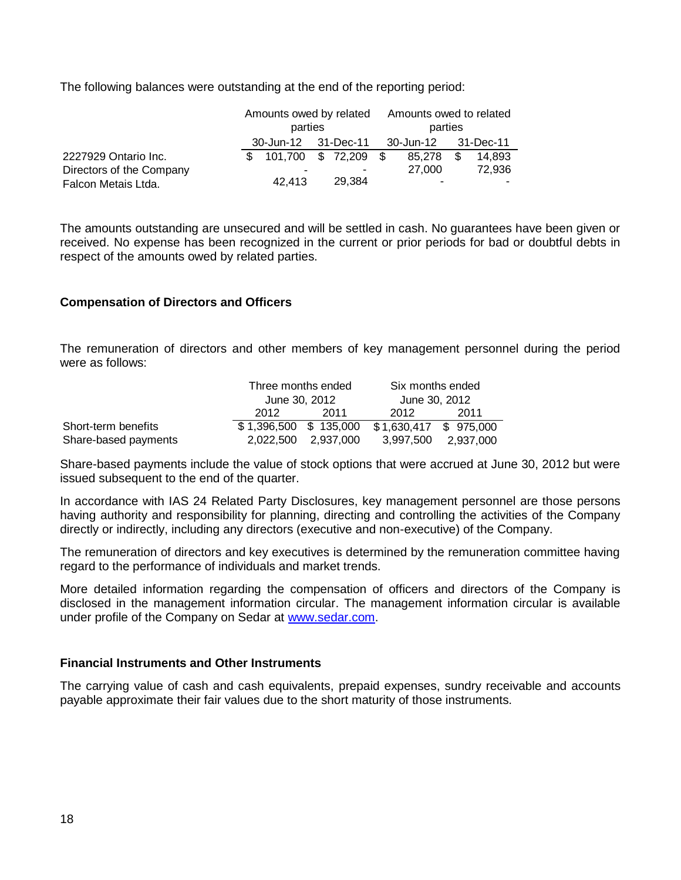The following balances were outstanding at the end of the reporting period:

|                          | Amounts owed by related |                        |  |        | Amounts owed to related |                     |      |        |
|--------------------------|-------------------------|------------------------|--|--------|-------------------------|---------------------|------|--------|
|                          | parties                 |                        |  |        | parties                 |                     |      |        |
|                          |                         | 30-Jun-12 31-Dec-11    |  |        |                         | 30-Jun-12 31-Dec-11 |      |        |
| 2227929 Ontario Inc.     |                         | $$101,700 \$72,209 \$$ |  |        |                         | 85.278              | - \$ | 14.893 |
| Directors of the Company |                         |                        |  |        |                         | 27.000              |      | 72,936 |
| Falcon Metais Ltda.      |                         | 42.413                 |  | 29.384 |                         | ۰                   |      |        |

The amounts outstanding are unsecured and will be settled in cash. No guarantees have been given or received. No expense has been recognized in the current or prior periods for bad or doubtful debts in respect of the amounts owed by related parties.

## **Compensation of Directors and Officers**

The remuneration of directors and other members of key management personnel during the period were as follows:

|                      | Three months ended      |                     | Six months ended      |           |  |  |
|----------------------|-------------------------|---------------------|-----------------------|-----------|--|--|
|                      | June 30, 2012           |                     | June 30, 2012         |           |  |  |
|                      | 2012                    | -2011               | 2012                  | 2011      |  |  |
| Short-term benefits  | $$1,396,500$ $$135,000$ |                     | \$1,630,417 \$975,000 |           |  |  |
| Share-based payments |                         | 2.022.500 2.937.000 | 3.997.500             | 2.937.000 |  |  |

Share-based payments include the value of stock options that were accrued at June 30, 2012 but were issued subsequent to the end of the quarter.

In accordance with IAS 24 Related Party Disclosures, key management personnel are those persons having authority and responsibility for planning, directing and controlling the activities of the Company directly or indirectly, including any directors (executive and non-executive) of the Company.

The remuneration of directors and key executives is determined by the remuneration committee having regard to the performance of individuals and market trends.

More detailed information regarding the compensation of officers and directors of the Company is disclosed in the management information circular. The management information circular is available under profile of the Company on Sedar at [www.sedar.com.](http://www.sedar.com/)

#### **Financial Instruments and Other Instruments**

The carrying value of cash and cash equivalents, prepaid expenses, sundry receivable and accounts payable approximate their fair values due to the short maturity of those instruments.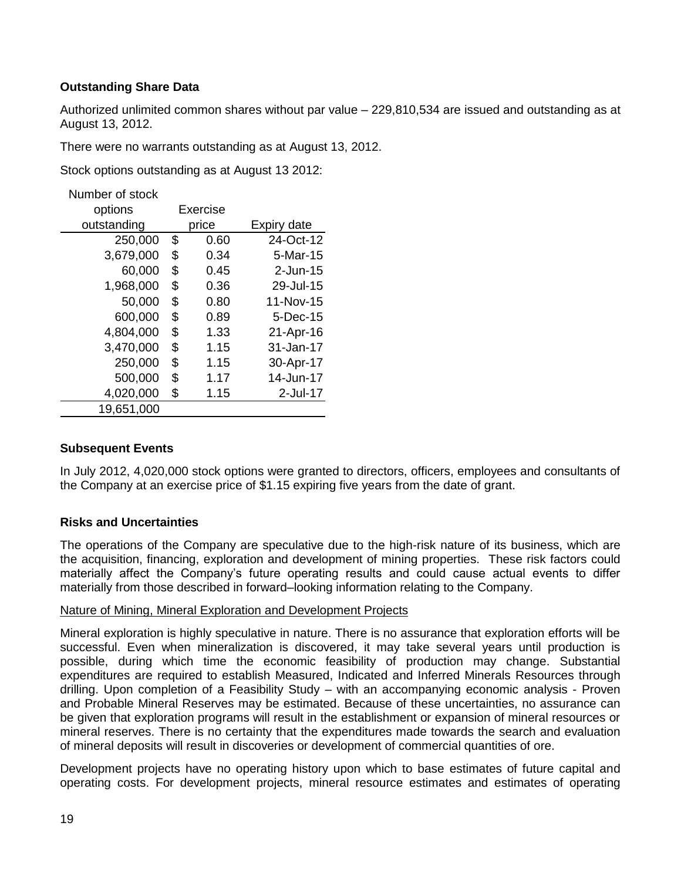# **Outstanding Share Data**

Authorized unlimited common shares without par value – 229,810,534 are issued and outstanding as at August 13, 2012.

There were no warrants outstanding as at August 13, 2012.

Stock options outstanding as at August 13 2012:

Number of stock

| options     | Exercise |       |             |
|-------------|----------|-------|-------------|
| outstanding |          | price | Expiry date |
| 250,000     | \$       | 0.60  | 24-Oct-12   |
| 3,679,000   | \$       | 0.34  | $5-Mar-15$  |
| 60,000      | \$       | 0.45  | $2$ -Jun-15 |
| 1,968,000   | \$       | 0.36  | 29-Jul-15   |
| 50,000      | \$       | 0.80  | 11-Nov-15   |
| 600,000     | \$       | 0.89  | 5-Dec-15    |
| 4,804,000   | \$       | 1.33  | 21-Apr-16   |
| 3,470,000   | \$       | 1.15  | 31-Jan-17   |
| 250,000     | \$       | 1.15  | 30-Apr-17   |
| 500,000     | \$       | 1.17  | 14-Jun-17   |
| 4,020,000   | \$       | 1.15  | $2$ -Jul-17 |
| 19,651,000  |          |       |             |

# **Subsequent Events**

In July 2012, 4,020,000 stock options were granted to directors, officers, employees and consultants of the Company at an exercise price of \$1.15 expiring five years from the date of grant.

#### **Risks and Uncertainties**

The operations of the Company are speculative due to the high-risk nature of its business, which are the acquisition, financing, exploration and development of mining properties. These risk factors could materially affect the Company's future operating results and could cause actual events to differ materially from those described in forward–looking information relating to the Company.

#### Nature of Mining, Mineral Exploration and Development Projects

Mineral exploration is highly speculative in nature. There is no assurance that exploration efforts will be successful. Even when mineralization is discovered, it may take several years until production is possible, during which time the economic feasibility of production may change. Substantial expenditures are required to establish Measured, Indicated and Inferred Minerals Resources through drilling. Upon completion of a Feasibility Study – with an accompanying economic analysis - Proven and Probable Mineral Reserves may be estimated. Because of these uncertainties, no assurance can be given that exploration programs will result in the establishment or expansion of mineral resources or mineral reserves. There is no certainty that the expenditures made towards the search and evaluation of mineral deposits will result in discoveries or development of commercial quantities of ore.

Development projects have no operating history upon which to base estimates of future capital and operating costs. For development projects, mineral resource estimates and estimates of operating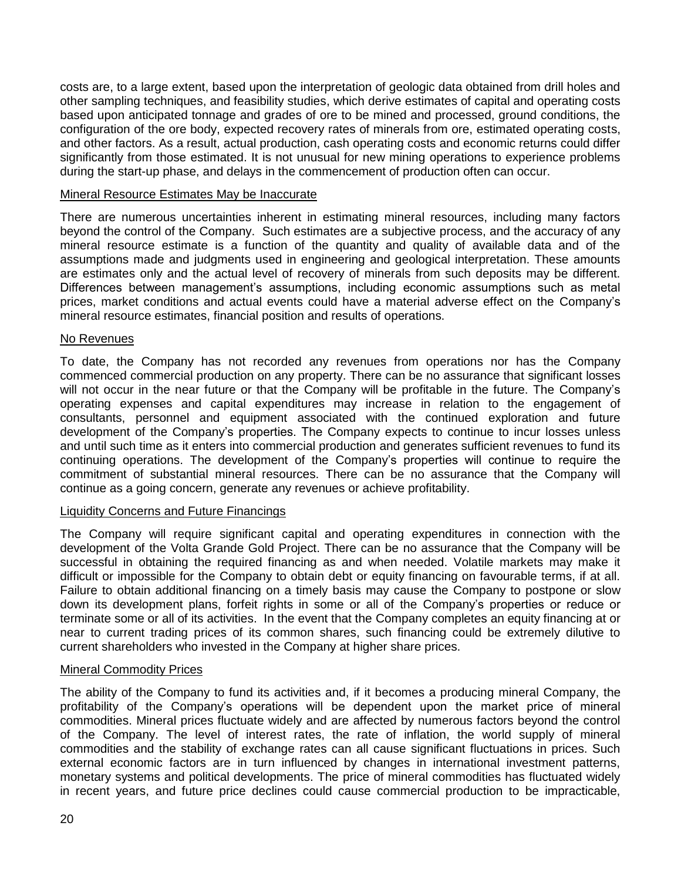costs are, to a large extent, based upon the interpretation of geologic data obtained from drill holes and other sampling techniques, and feasibility studies, which derive estimates of capital and operating costs based upon anticipated tonnage and grades of ore to be mined and processed, ground conditions, the configuration of the ore body, expected recovery rates of minerals from ore, estimated operating costs, and other factors. As a result, actual production, cash operating costs and economic returns could differ significantly from those estimated. It is not unusual for new mining operations to experience problems during the start-up phase, and delays in the commencement of production often can occur.

## Mineral Resource Estimates May be Inaccurate

There are numerous uncertainties inherent in estimating mineral resources, including many factors beyond the control of the Company. Such estimates are a subjective process, and the accuracy of any mineral resource estimate is a function of the quantity and quality of available data and of the assumptions made and judgments used in engineering and geological interpretation. These amounts are estimates only and the actual level of recovery of minerals from such deposits may be different. Differences between management's assumptions, including economic assumptions such as metal prices, market conditions and actual events could have a material adverse effect on the Company's mineral resource estimates, financial position and results of operations.

## No Revenues

To date, the Company has not recorded any revenues from operations nor has the Company commenced commercial production on any property. There can be no assurance that significant losses will not occur in the near future or that the Company will be profitable in the future. The Company's operating expenses and capital expenditures may increase in relation to the engagement of consultants, personnel and equipment associated with the continued exploration and future development of the Company's properties. The Company expects to continue to incur losses unless and until such time as it enters into commercial production and generates sufficient revenues to fund its continuing operations. The development of the Company's properties will continue to require the commitment of substantial mineral resources. There can be no assurance that the Company will continue as a going concern, generate any revenues or achieve profitability.

#### Liquidity Concerns and Future Financings

The Company will require significant capital and operating expenditures in connection with the development of the Volta Grande Gold Project. There can be no assurance that the Company will be successful in obtaining the required financing as and when needed. Volatile markets may make it difficult or impossible for the Company to obtain debt or equity financing on favourable terms, if at all. Failure to obtain additional financing on a timely basis may cause the Company to postpone or slow down its development plans, forfeit rights in some or all of the Company's properties or reduce or terminate some or all of its activities. In the event that the Company completes an equity financing at or near to current trading prices of its common shares, such financing could be extremely dilutive to current shareholders who invested in the Company at higher share prices.

#### Mineral Commodity Prices

The ability of the Company to fund its activities and, if it becomes a producing mineral Company, the profitability of the Company's operations will be dependent upon the market price of mineral commodities. Mineral prices fluctuate widely and are affected by numerous factors beyond the control of the Company. The level of interest rates, the rate of inflation, the world supply of mineral commodities and the stability of exchange rates can all cause significant fluctuations in prices. Such external economic factors are in turn influenced by changes in international investment patterns, monetary systems and political developments. The price of mineral commodities has fluctuated widely in recent years, and future price declines could cause commercial production to be impracticable,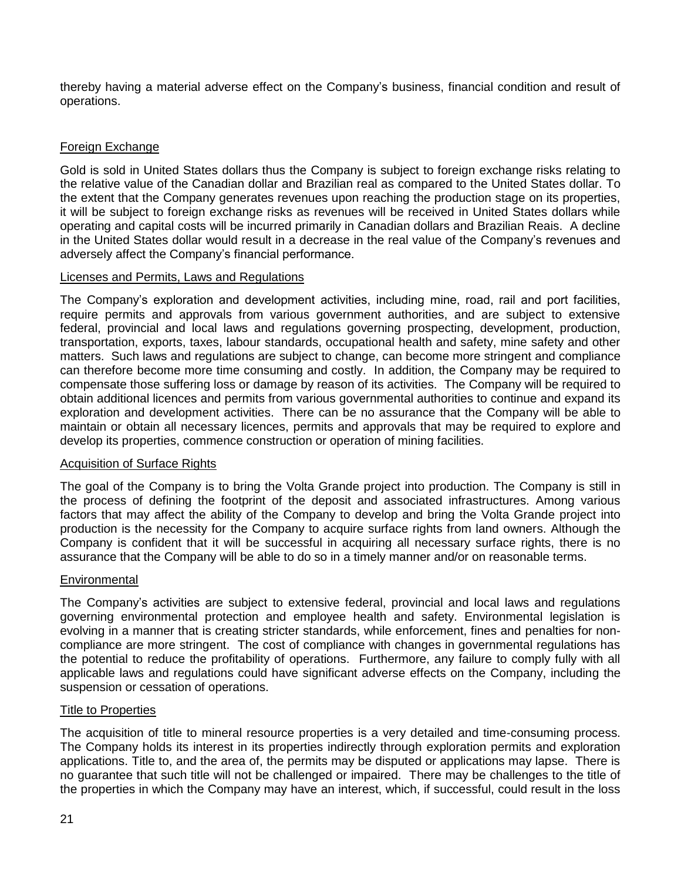thereby having a material adverse effect on the Company's business, financial condition and result of operations.

# Foreign Exchange

Gold is sold in United States dollars thus the Company is subject to foreign exchange risks relating to the relative value of the Canadian dollar and Brazilian real as compared to the United States dollar. To the extent that the Company generates revenues upon reaching the production stage on its properties, it will be subject to foreign exchange risks as revenues will be received in United States dollars while operating and capital costs will be incurred primarily in Canadian dollars and Brazilian Reais. A decline in the United States dollar would result in a decrease in the real value of the Company's revenues and adversely affect the Company's financial performance.

# Licenses and Permits, Laws and Regulations

The Company's exploration and development activities, including mine, road, rail and port facilities, require permits and approvals from various government authorities, and are subject to extensive federal, provincial and local laws and regulations governing prospecting, development, production, transportation, exports, taxes, labour standards, occupational health and safety, mine safety and other matters. Such laws and regulations are subject to change, can become more stringent and compliance can therefore become more time consuming and costly. In addition, the Company may be required to compensate those suffering loss or damage by reason of its activities. The Company will be required to obtain additional licences and permits from various governmental authorities to continue and expand its exploration and development activities. There can be no assurance that the Company will be able to maintain or obtain all necessary licences, permits and approvals that may be required to explore and develop its properties, commence construction or operation of mining facilities.

# Acquisition of Surface Rights

The goal of the Company is to bring the Volta Grande project into production. The Company is still in the process of defining the footprint of the deposit and associated infrastructures. Among various factors that may affect the ability of the Company to develop and bring the Volta Grande project into production is the necessity for the Company to acquire surface rights from land owners. Although the Company is confident that it will be successful in acquiring all necessary surface rights, there is no assurance that the Company will be able to do so in a timely manner and/or on reasonable terms.

# **Environmental**

The Company's activities are subject to extensive federal, provincial and local laws and regulations governing environmental protection and employee health and safety. Environmental legislation is evolving in a manner that is creating stricter standards, while enforcement, fines and penalties for noncompliance are more stringent. The cost of compliance with changes in governmental regulations has the potential to reduce the profitability of operations. Furthermore, any failure to comply fully with all applicable laws and regulations could have significant adverse effects on the Company, including the suspension or cessation of operations.

#### Title to Properties

The acquisition of title to mineral resource properties is a very detailed and time-consuming process. The Company holds its interest in its properties indirectly through exploration permits and exploration applications. Title to, and the area of, the permits may be disputed or applications may lapse. There is no guarantee that such title will not be challenged or impaired. There may be challenges to the title of the properties in which the Company may have an interest, which, if successful, could result in the loss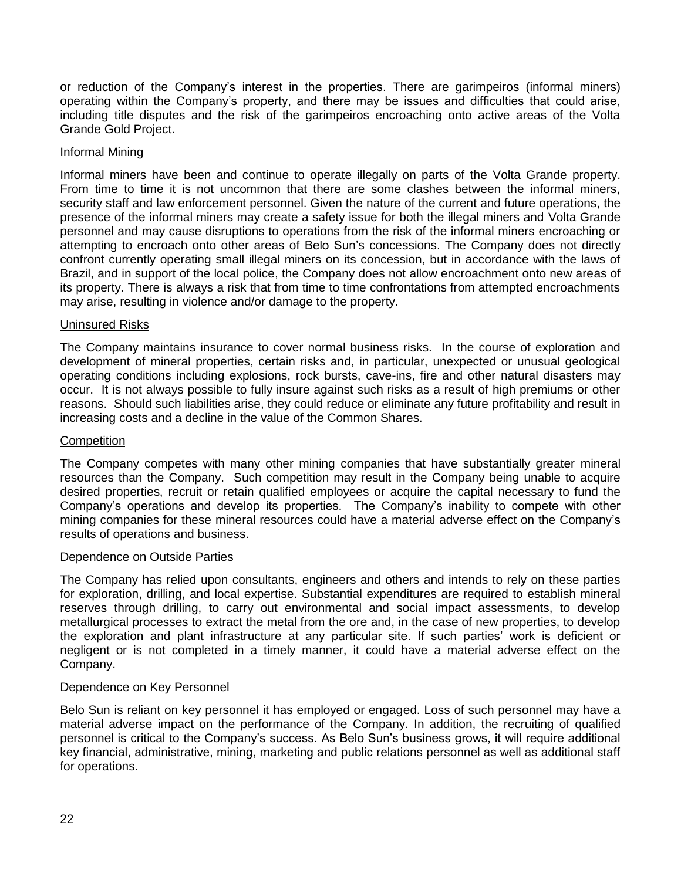or reduction of the Company's interest in the properties. There are garimpeiros (informal miners) operating within the Company's property, and there may be issues and difficulties that could arise, including title disputes and the risk of the garimpeiros encroaching onto active areas of the Volta Grande Gold Project.

## Informal Mining

Informal miners have been and continue to operate illegally on parts of the Volta Grande property. From time to time it is not uncommon that there are some clashes between the informal miners, security staff and law enforcement personnel. Given the nature of the current and future operations, the presence of the informal miners may create a safety issue for both the illegal miners and Volta Grande personnel and may cause disruptions to operations from the risk of the informal miners encroaching or attempting to encroach onto other areas of Belo Sun's concessions. The Company does not directly confront currently operating small illegal miners on its concession, but in accordance with the laws of Brazil, and in support of the local police, the Company does not allow encroachment onto new areas of its property. There is always a risk that from time to time confrontations from attempted encroachments may arise, resulting in violence and/or damage to the property.

## Uninsured Risks

The Company maintains insurance to cover normal business risks. In the course of exploration and development of mineral properties, certain risks and, in particular, unexpected or unusual geological operating conditions including explosions, rock bursts, cave-ins, fire and other natural disasters may occur. It is not always possible to fully insure against such risks as a result of high premiums or other reasons. Should such liabilities arise, they could reduce or eliminate any future profitability and result in increasing costs and a decline in the value of the Common Shares.

#### **Competition**

The Company competes with many other mining companies that have substantially greater mineral resources than the Company. Such competition may result in the Company being unable to acquire desired properties, recruit or retain qualified employees or acquire the capital necessary to fund the Company's operations and develop its properties. The Company's inability to compete with other mining companies for these mineral resources could have a material adverse effect on the Company's results of operations and business.

#### Dependence on Outside Parties

The Company has relied upon consultants, engineers and others and intends to rely on these parties for exploration, drilling, and local expertise. Substantial expenditures are required to establish mineral reserves through drilling, to carry out environmental and social impact assessments, to develop metallurgical processes to extract the metal from the ore and, in the case of new properties, to develop the exploration and plant infrastructure at any particular site. If such parties' work is deficient or negligent or is not completed in a timely manner, it could have a material adverse effect on the Company.

# Dependence on Key Personnel

Belo Sun is reliant on key personnel it has employed or engaged. Loss of such personnel may have a material adverse impact on the performance of the Company. In addition, the recruiting of qualified personnel is critical to the Company's success. As Belo Sun's business grows, it will require additional key financial, administrative, mining, marketing and public relations personnel as well as additional staff for operations.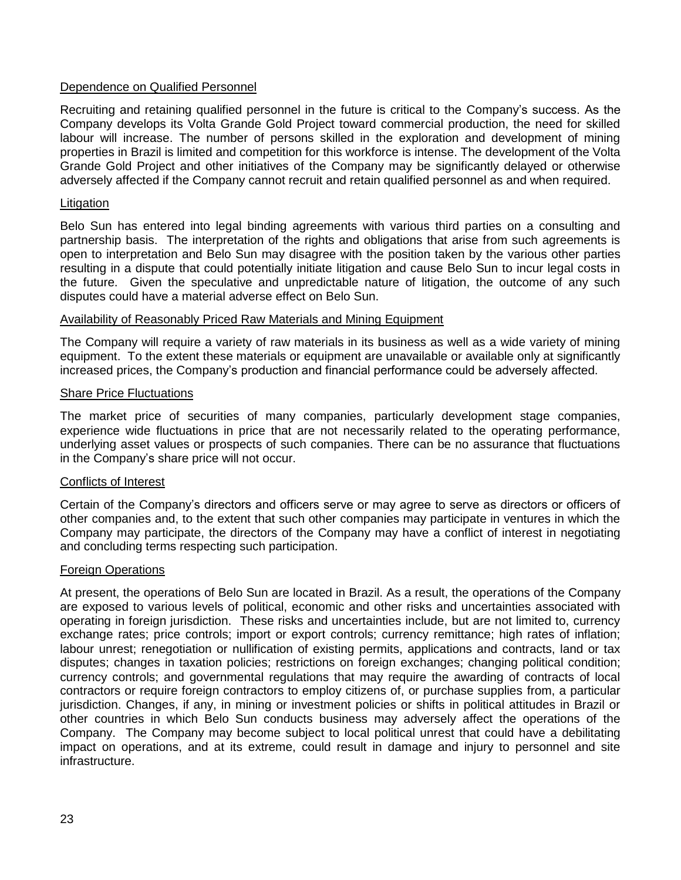# Dependence on Qualified Personnel

Recruiting and retaining qualified personnel in the future is critical to the Company's success. As the Company develops its Volta Grande Gold Project toward commercial production, the need for skilled labour will increase. The number of persons skilled in the exploration and development of mining properties in Brazil is limited and competition for this workforce is intense. The development of the Volta Grande Gold Project and other initiatives of the Company may be significantly delayed or otherwise adversely affected if the Company cannot recruit and retain qualified personnel as and when required.

## **Litigation**

Belo Sun has entered into legal binding agreements with various third parties on a consulting and partnership basis. The interpretation of the rights and obligations that arise from such agreements is open to interpretation and Belo Sun may disagree with the position taken by the various other parties resulting in a dispute that could potentially initiate litigation and cause Belo Sun to incur legal costs in the future. Given the speculative and unpredictable nature of litigation, the outcome of any such disputes could have a material adverse effect on Belo Sun.

## Availability of Reasonably Priced Raw Materials and Mining Equipment

The Company will require a variety of raw materials in its business as well as a wide variety of mining equipment. To the extent these materials or equipment are unavailable or available only at significantly increased prices, the Company's production and financial performance could be adversely affected.

## **Share Price Fluctuations**

The market price of securities of many companies, particularly development stage companies, experience wide fluctuations in price that are not necessarily related to the operating performance, underlying asset values or prospects of such companies. There can be no assurance that fluctuations in the Company's share price will not occur.

# Conflicts of Interest

Certain of the Company's directors and officers serve or may agree to serve as directors or officers of other companies and, to the extent that such other companies may participate in ventures in which the Company may participate, the directors of the Company may have a conflict of interest in negotiating and concluding terms respecting such participation.

#### Foreign Operations

At present, the operations of Belo Sun are located in Brazil. As a result, the operations of the Company are exposed to various levels of political, economic and other risks and uncertainties associated with operating in foreign jurisdiction. These risks and uncertainties include, but are not limited to, currency exchange rates; price controls; import or export controls; currency remittance; high rates of inflation; labour unrest; renegotiation or nullification of existing permits, applications and contracts, land or tax disputes; changes in taxation policies; restrictions on foreign exchanges; changing political condition; currency controls; and governmental regulations that may require the awarding of contracts of local contractors or require foreign contractors to employ citizens of, or purchase supplies from, a particular jurisdiction. Changes, if any, in mining or investment policies or shifts in political attitudes in Brazil or other countries in which Belo Sun conducts business may adversely affect the operations of the Company. The Company may become subject to local political unrest that could have a debilitating impact on operations, and at its extreme, could result in damage and injury to personnel and site infrastructure.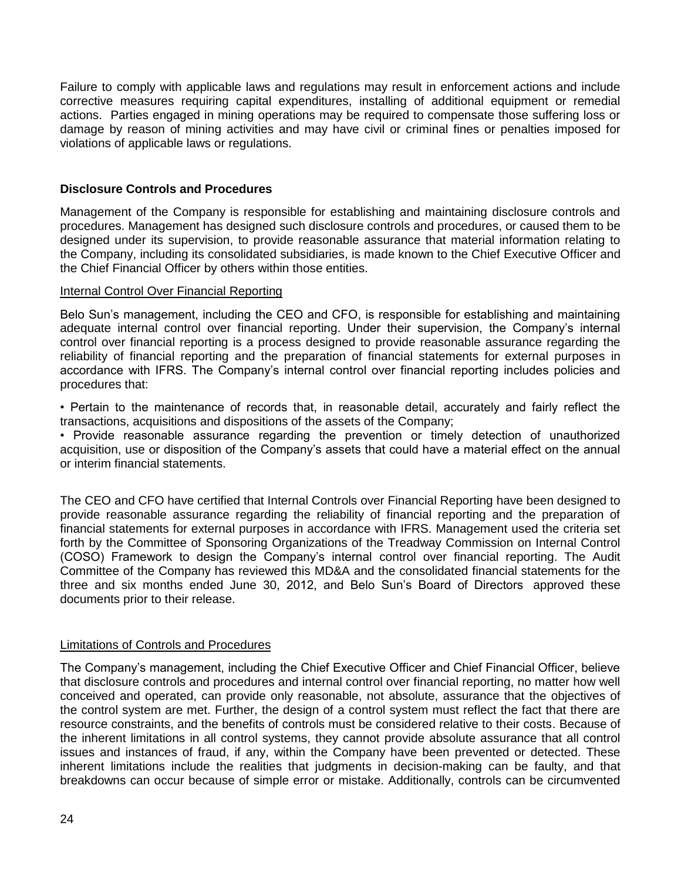Failure to comply with applicable laws and regulations may result in enforcement actions and include corrective measures requiring capital expenditures, installing of additional equipment or remedial actions. Parties engaged in mining operations may be required to compensate those suffering loss or damage by reason of mining activities and may have civil or criminal fines or penalties imposed for violations of applicable laws or regulations.

# **Disclosure Controls and Procedures**

Management of the Company is responsible for establishing and maintaining disclosure controls and procedures. Management has designed such disclosure controls and procedures, or caused them to be designed under its supervision, to provide reasonable assurance that material information relating to the Company, including its consolidated subsidiaries, is made known to the Chief Executive Officer and the Chief Financial Officer by others within those entities.

## Internal Control Over Financial Reporting

Belo Sun's management, including the CEO and CFO, is responsible for establishing and maintaining adequate internal control over financial reporting. Under their supervision, the Company's internal control over financial reporting is a process designed to provide reasonable assurance regarding the reliability of financial reporting and the preparation of financial statements for external purposes in accordance with IFRS. The Company's internal control over financial reporting includes policies and procedures that:

• Pertain to the maintenance of records that, in reasonable detail, accurately and fairly reflect the transactions, acquisitions and dispositions of the assets of the Company;

• Provide reasonable assurance regarding the prevention or timely detection of unauthorized acquisition, use or disposition of the Company's assets that could have a material effect on the annual or interim financial statements.

The CEO and CFO have certified that Internal Controls over Financial Reporting have been designed to provide reasonable assurance regarding the reliability of financial reporting and the preparation of financial statements for external purposes in accordance with IFRS. Management used the criteria set forth by the Committee of Sponsoring Organizations of the Treadway Commission on Internal Control (COSO) Framework to design the Company's internal control over financial reporting. The Audit Committee of the Company has reviewed this MD&A and the consolidated financial statements for the three and six months ended June 30, 2012, and Belo Sun's Board of Directors approved these documents prior to their release.

# Limitations of Controls and Procedures

The Company's management, including the Chief Executive Officer and Chief Financial Officer, believe that disclosure controls and procedures and internal control over financial reporting, no matter how well conceived and operated, can provide only reasonable, not absolute, assurance that the objectives of the control system are met. Further, the design of a control system must reflect the fact that there are resource constraints, and the benefits of controls must be considered relative to their costs. Because of the inherent limitations in all control systems, they cannot provide absolute assurance that all control issues and instances of fraud, if any, within the Company have been prevented or detected. These inherent limitations include the realities that judgments in decision-making can be faulty, and that breakdowns can occur because of simple error or mistake. Additionally, controls can be circumvented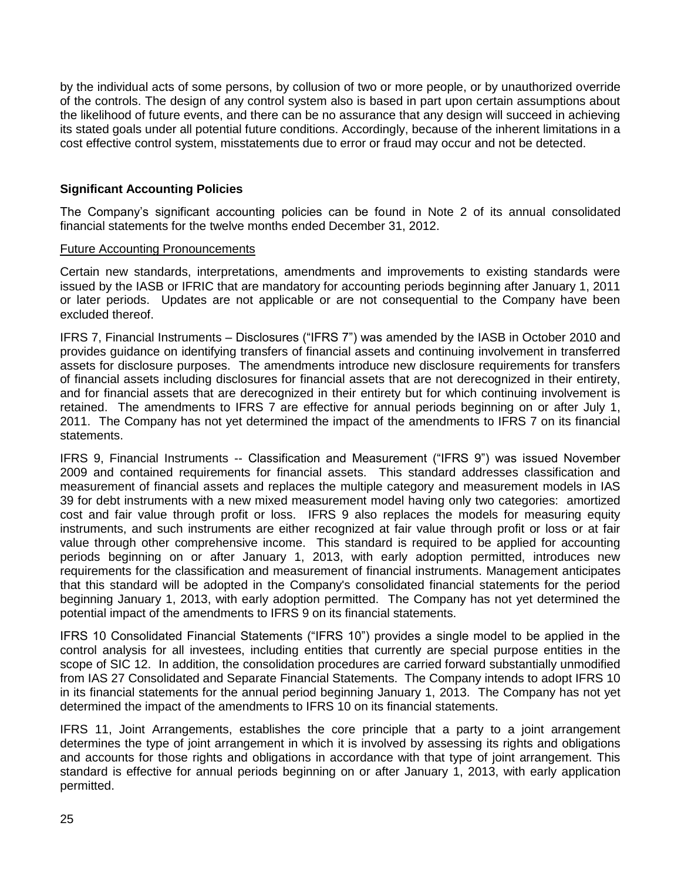by the individual acts of some persons, by collusion of two or more people, or by unauthorized override of the controls. The design of any control system also is based in part upon certain assumptions about the likelihood of future events, and there can be no assurance that any design will succeed in achieving its stated goals under all potential future conditions. Accordingly, because of the inherent limitations in a cost effective control system, misstatements due to error or fraud may occur and not be detected.

# **Significant Accounting Policies**

The Company's significant accounting policies can be found in Note 2 of its annual consolidated financial statements for the twelve months ended December 31, 2012.

## Future Accounting Pronouncements

Certain new standards, interpretations, amendments and improvements to existing standards were issued by the IASB or IFRIC that are mandatory for accounting periods beginning after January 1, 2011 or later periods. Updates are not applicable or are not consequential to the Company have been excluded thereof.

IFRS 7, Financial Instruments – Disclosures ("IFRS 7") was amended by the IASB in October 2010 and provides guidance on identifying transfers of financial assets and continuing involvement in transferred assets for disclosure purposes. The amendments introduce new disclosure requirements for transfers of financial assets including disclosures for financial assets that are not derecognized in their entirety, and for financial assets that are derecognized in their entirety but for which continuing involvement is retained. The amendments to IFRS 7 are effective for annual periods beginning on or after July 1, 2011. The Company has not yet determined the impact of the amendments to IFRS 7 on its financial statements.

IFRS 9, Financial Instruments -- Classification and Measurement ("IFRS 9") was issued November 2009 and contained requirements for financial assets. This standard addresses classification and measurement of financial assets and replaces the multiple category and measurement models in IAS 39 for debt instruments with a new mixed measurement model having only two categories: amortized cost and fair value through profit or loss. IFRS 9 also replaces the models for measuring equity instruments, and such instruments are either recognized at fair value through profit or loss or at fair value through other comprehensive income. This standard is required to be applied for accounting periods beginning on or after January 1, 2013, with early adoption permitted, introduces new requirements for the classification and measurement of financial instruments. Management anticipates that this standard will be adopted in the Company's consolidated financial statements for the period beginning January 1, 2013, with early adoption permitted. The Company has not yet determined the potential impact of the amendments to IFRS 9 on its financial statements.

IFRS 10 Consolidated Financial Statements ("IFRS 10") provides a single model to be applied in the control analysis for all investees, including entities that currently are special purpose entities in the scope of SIC 12. In addition, the consolidation procedures are carried forward substantially unmodified from IAS 27 Consolidated and Separate Financial Statements. The Company intends to adopt IFRS 10 in its financial statements for the annual period beginning January 1, 2013. The Company has not yet determined the impact of the amendments to IFRS 10 on its financial statements.

IFRS 11, Joint Arrangements, establishes the core principle that a party to a joint arrangement determines the type of joint arrangement in which it is involved by assessing its rights and obligations and accounts for those rights and obligations in accordance with that type of joint arrangement. This standard is effective for annual periods beginning on or after January 1, 2013, with early application permitted.